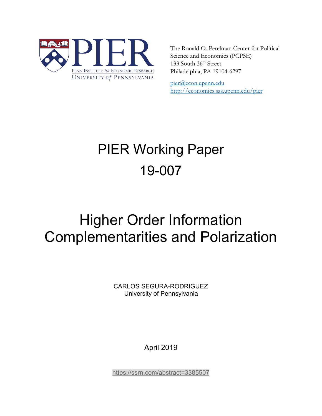

The Ronald O. Perelman Center for Political Science and Economics (PCPSE) 133 South 36<sup>th</sup> Street Philadelphia, PA 19104-6297

pier@econ.upenn.edu <http://economics.sas.upenn.edu/pier>

# PIER Working Paper 19-007

# Higher Order Information Complementarities and Polarization

CARLOS SEGURA-RODRIGUEZ University of Pennsylvania

April 2019

<https://ssrn.com/abstract=3385507>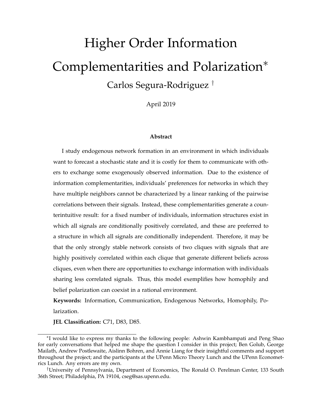# Higher Order Information Complementarities and Polarization<sup>∗</sup> Carlos Segura-Rodriguez †

April 2019

#### **Abstract**

I study endogenous network formation in an environment in which individuals want to forecast a stochastic state and it is costly for them to communicate with others to exchange some exogenously observed information. Due to the existence of information complementarities, individuals' preferences for networks in which they have multiple neighbors cannot be characterized by a linear ranking of the pairwise correlations between their signals. Instead, these complementarities generate a counterintuitive result: for a fixed number of individuals, information structures exist in which all signals are conditionally positively correlated, and these are preferred to a structure in which all signals are conditionally independent. Therefore, it may be that the only strongly stable network consists of two cliques with signals that are highly positively correlated within each clique that generate different beliefs across cliques, even when there are opportunities to exchange information with individuals sharing less correlated signals. Thus, this model exemplifies how homophily and belief polarization can coexist in a rational environment.

**Keywords:** Information, Communication, Endogenous Networks, Homophily, Polarization.

**JEL Classification:** C71, D83, D85.

<sup>∗</sup> I would like to express my thanks to the following people: Ashwin Kambhampati and Peng Shao for early conversations that helped me shape the question I consider in this project; Ben Golub, George Mailath, Andrew Postlewaite, Aislinn Bohren, and Annie Liang for their insightful comments and support throughout the project; and the participants at the UPenn Micro Theory Lunch and the UPenn Econometrics Lunch. Any errors are my own.

<sup>†</sup>University of Pennsylvania, Department of Economics, The Ronald O. Perelman Center, 133 South 36th Street; Philadelphia, PA 19104, cseg@sas.upenn.edu.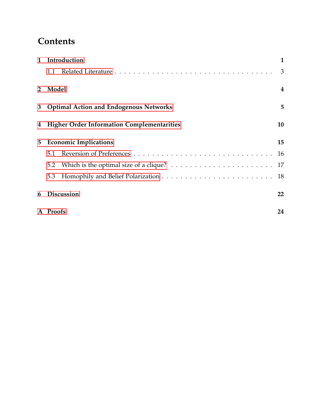# **Contents**

| 1              | Introduction                                                                                     |    |  |  |
|----------------|--------------------------------------------------------------------------------------------------|----|--|--|
|                | 1.1                                                                                              | 3  |  |  |
| 2 <sup>1</sup> | Model                                                                                            | 4  |  |  |
| 3              | <b>Optimal Action and Endogenous Networks</b>                                                    |    |  |  |
| 4              | <b>Higher Order Information Complementarities</b><br>10                                          |    |  |  |
| 5              | <b>Economic Implications</b>                                                                     |    |  |  |
|                | 5.1                                                                                              | 16 |  |  |
|                | Which is the optimal size of a clique? $\ldots \ldots \ldots \ldots \ldots \ldots \ldots$<br>5.2 | 17 |  |  |
|                | 5.3                                                                                              | 18 |  |  |
| 6              | <b>Discussion</b>                                                                                | 22 |  |  |
|                | A Proofs                                                                                         | 24 |  |  |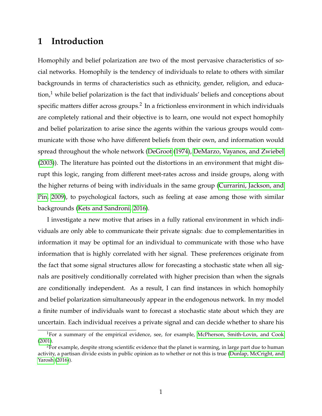# <span id="page-3-0"></span>**1 Introduction**

Homophily and belief polarization are two of the most pervasive characteristics of social networks. Homophily is the tendency of individuals to relate to others with similar backgrounds in terms of characteristics such as ethnicity, gender, religion, and educa- $\text{tion}^1$  while belief polarization is the fact that individuals' beliefs and conceptions about specific matters differ across groups. $^2$  In a frictionless environment in which individuals are completely rational and their objective is to learn, one would not expect homophily and belief polarization to arise since the agents within the various groups would communicate with those who have different beliefs from their own, and information would spread throughout the whole network [\(DeGroot](#page-25-0) [\(1974\)](#page-25-0), [DeMarzo, Vayanos, and Zwiebel](#page-25-1) [\(2003\)](#page-25-1)). The literature has pointed out the distortions in an environment that might disrupt this logic, ranging from different meet-rates across and inside groups, along with the higher returns of being with individuals in the same group [\(Currarini, Jackson, and](#page-25-2) [Pin, 2009\)](#page-25-2), to psychological factors, such as feeling at ease among those with similar backgrounds [\(Kets and Sandroni, 2016\)](#page-26-1).

I investigate a new motive that arises in a fully rational environment in which individuals are only able to communicate their private signals: due to complementarities in information it may be optimal for an individual to communicate with those who have information that is highly correlated with her signal. These preferences originate from the fact that some signal structures allow for forecasting a stochastic state when all signals are positively conditionally correlated with higher precision than when the signals are conditionally independent. As a result, I can find instances in which homophily and belief polarization simultaneously appear in the endogenous network. In my model a finite number of individuals want to forecast a stochastic state about which they are uncertain. Each individual receives a private signal and can decide whether to share his

<sup>&</sup>lt;sup>1</sup>For a summary of the empirical evidence, see, for example, [McPherson, Smith-Lovin, and Cook](#page-26-2) [\(2001\)](#page-26-2).

<sup>&</sup>lt;sup>2</sup>For example, despite strong scientific evidence that the planet is warming, in large part due to human activity, a partisan divide exists in public opinion as to whether or not this is true [\(Dunlap, McCright, and](#page-25-3) [Yarosh](#page-25-3) [\(2016\)](#page-25-3)).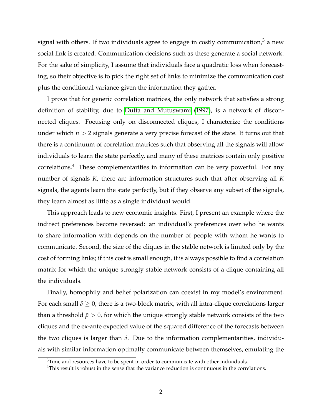signal with others. If two individuals agree to engage in costly communication,  $3$  a new social link is created. Communication decisions such as these generate a social network. For the sake of simplicity, I assume that individuals face a quadratic loss when forecasting, so their objective is to pick the right set of links to minimize the communication cost plus the conditional variance given the information they gather.

I prove that for generic correlation matrices, the only network that satisfies a strong definition of stability, due to [Dutta and Mutuswami](#page-25-4) [\(1997\)](#page-25-4), is a network of disconnected cliques. Focusing only on disconnected cliques, I characterize the conditions under which *n* > 2 signals generate a very precise forecast of the state. It turns out that there is a continuum of correlation matrices such that observing all the signals will allow individuals to learn the state perfectly, and many of these matrices contain only positive correlations.<sup>4</sup> These complementarities in information can be very powerful. For any number of signals *K*, there are information structures such that after observing all *K* signals, the agents learn the state perfectly, but if they observe any subset of the signals, they learn almost as little as a single individual would.

This approach leads to new economic insights. First, I present an example where the indirect preferences become reversed: an individual's preferences over who he wants to share information with depends on the number of people with whom he wants to communicate. Second, the size of the cliques in the stable network is limited only by the cost of forming links; if this cost is small enough, it is always possible to find a correlation matrix for which the unique strongly stable network consists of a clique containing all the individuals.

Finally, homophily and belief polarization can coexist in my model's environment. For each small  $\delta \geq 0$ , there is a two-block matrix, with all intra-clique correlations larger than a threshold  $\tilde{\rho} > 0$ , for which the unique strongly stable network consists of the two cliques and the ex-ante expected value of the squared difference of the forecasts between the two cliques is larger than  $\delta$ . Due to the information complementarities, individuals with similar information optimally communicate between themselves, emulating the

<sup>&</sup>lt;sup>3</sup>Time and resources have to be spent in order to communicate with other individuals.

<sup>&</sup>lt;sup>4</sup>This result is robust in the sense that the variance reduction is continuous in the correlations.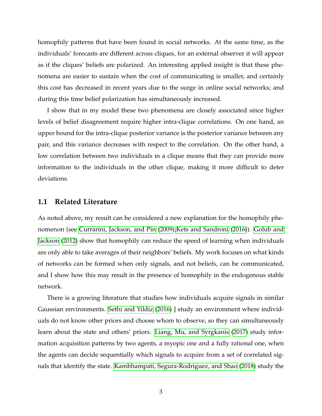homophily patterns that have been found in social networks. At the same time, as the individuals' forecasts are different across cliques, for an external observer it will appear as if the cliques' beliefs are polarized. An interesting applied insight is that these phenomena are easier to sustain when the cost of communicating is smaller, and certainly this cost has decreased in recent years due to the surge in online social networks; and during this time belief polarization has simultaneously increased.

I show that in my model these two phenomena are closely associated since higher levels of belief disagreement require higher intra-clique correlations. On one hand, an upper bound for the intra-clique posterior variance is the posterior variance between any pair, and this variance decreases with respect to the correlation. On the other hand, a low correlation between two individuals in a clique means that they can provide more information to the individuals in the other clique, making it more difficult to deter deviations.

## <span id="page-5-0"></span>**1.1 Related Literature**

As noted above, my result can be considered a new explanation for the homophily phenomenon (see [Currarini, Jackson, and Pin](#page-25-2) [\(2009\)](#page-25-2)[,Kets and Sandroni](#page-26-1) [\(2016\)](#page-26-1)). [Golub and](#page-25-5) [Jackson](#page-25-5) [\(2012\)](#page-25-5) show that homophily can reduce the speed of learning when individuals are only able to take averages of their neighbors' beliefs. My work focuses on what kinds of networks can be formed when only signals, and not beliefs, can be communicated, and I show how this may result in the presence of homophily in the endogenous stable network.

There is a growing literature that studies how individuals acquire signals in similar Gaussian environments. [Sethi and Yildiz](#page-26-3) [\(2016\)](#page-26-3) ] study an environment where individuals do not know other priors and choose whom to observe, so they can simultaneously learn about the state and others' priors. [Liang, Mu, and Syrgkanis](#page-26-4) [\(2017\)](#page-26-4) study information acquisition patterns by two agents, a myopic one and a fully rational one, when the agents can decide sequentially which signals to acquire from a set of correlated signals that identify the state. [Kambhampati, Segura-Rodriguez, and Shao](#page-26-5) [\(2018\)](#page-26-5) study the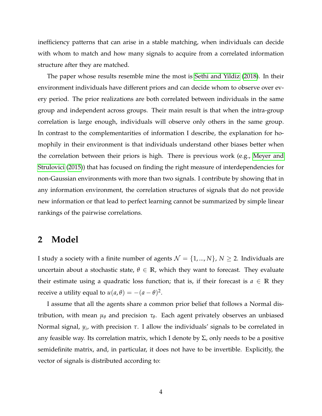inefficiency patterns that can arise in a stable matching, when individuals can decide with whom to match and how many signals to acquire from a correlated information structure after they are matched.

The paper whose results resemble mine the most is [Sethi and Yildiz](#page-26-6) [\(2018\)](#page-26-6). In their environment individuals have different priors and can decide whom to observe over every period. The prior realizations are both correlated between individuals in the same group and independent across groups. Their main result is that when the intra-group correlation is large enough, individuals will observe only others in the same group. In contrast to the complementarities of information I describe, the explanation for homophily in their environment is that individuals understand other biases better when the correlation between their priors is high. There is previous work (e.g., [Meyer and](#page-26-7) [Strulovici](#page-26-7) [\(2015\)](#page-26-7)) that has focused on finding the right measure of interdependencies for non-Gaussian environments with more than two signals. I contribute by showing that in any information environment, the correlation structures of signals that do not provide new information or that lead to perfect learning cannot be summarized by simple linear rankings of the pairwise correlations.

## <span id="page-6-0"></span>**2 Model**

I study a society with a finite number of agents  $\mathcal{N} = \{1, ..., N\}$ ,  $N \ge 2$ . Individuals are uncertain about a stochastic state,  $\theta \in \mathbb{R}$ , which they want to forecast. They evaluate their estimate using a quadratic loss function; that is, if their forecast is  $a \in \mathbb{R}$  they receive a utility equal to  $u(a,\theta) = -(a-\theta)^2$ .

I assume that all the agents share a common prior belief that follows a Normal distribution, with mean *µ<sup>θ</sup>* and precision *τ<sup>θ</sup>* . Each agent privately observes an unbiased Normal signal, *y<sup>i</sup>* , with precision *τ*. I allow the individuals' signals to be correlated in any feasible way. Its correlation matrix, which I denote by  $\Sigma$ , only needs to be a positive semidefinite matrix, and, in particular, it does not have to be invertible. Explicitly, the vector of signals is distributed according to: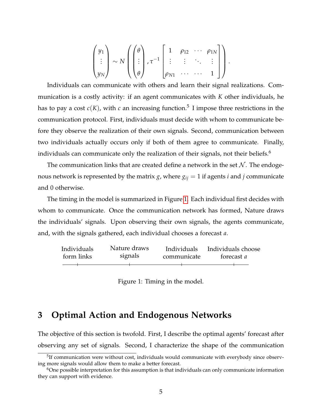$$
\begin{pmatrix} y_1 \\ \vdots \\ y_N \end{pmatrix} \sim N \left( \begin{pmatrix} \theta \\ \vdots \\ \theta \end{pmatrix}, \tau^{-1} \begin{bmatrix} 1 & \rho_{12} & \cdots & \rho_{1N} \\ \vdots & \vdots & \ddots & \vdots \\ \rho_{N1} & \cdots & \cdots & 1 \end{bmatrix} \right).
$$

Individuals can communicate with others and learn their signal realizations. Communication is a costly activity: if an agent communicates with *K* other individuals, he has to pay a cost  $c(K)$ , with  $c$  an increasing function.<sup>5</sup> I impose three restrictions in the communication protocol. First, individuals must decide with whom to communicate before they observe the realization of their own signals. Second, communication between two individuals actually occurs only if both of them agree to communicate. Finally, individuals can communicate only the realization of their signals, not their beliefs.<sup>6</sup>

The communication links that are created define a network in the set  $\mathcal N$ . The endogenous network is represented by the matrix *g*, where  $g_{ij} = 1$  if agents *i* and *j* communicate and 0 otherwise.

The timing in the model is summarized in Figure [1.](#page-7-1) Each individual first decides with whom to communicate. Once the communication network has formed, Nature draws the individuals' signals. Upon observing their own signals, the agents communicate, and, with the signals gathered, each individual chooses a forecast *a*.

<span id="page-7-1"></span>

| Individuals | Nature draws | Individuals | Individuals choose |
|-------------|--------------|-------------|--------------------|
| form links  | signals      | communicate | forecast a         |
|             |              |             |                    |

Figure 1: Timing in the model.

# <span id="page-7-0"></span>**3 Optimal Action and Endogenous Networks**

The objective of this section is twofold. First, I describe the optimal agents' forecast after observing any set of signals. Second, I characterize the shape of the communication

<sup>&</sup>lt;sup>5</sup>If communication were without cost, individuals would communicate with everybody since observing more signals would allow them to make a better forecast.

<sup>&</sup>lt;sup>6</sup>One possible interpretation for this assumption is that individuals can only communicate information they can support with evidence.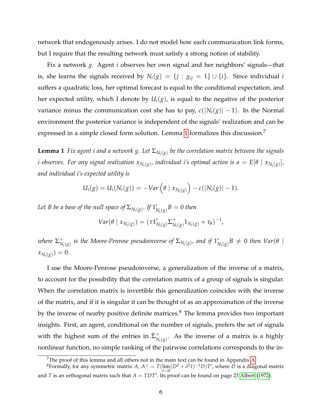network that endogenously arises. I do not model how each communication link forms, but I require that the resulting network must satisfy a strong notion of stability.

Fix a network *g*. Agent *i* observes her own signal and her neighbors' signals—that is, she learns the signals received by  $N_i(g) = \{j : g_{ij} = 1\} \cup \{i\}$ . Since individual *i* suffers a quadratic loss, her optimal forecast is equal to the conditional expectation, and her expected utility, which I denote by  $U_i(g)$ , is equal to the negative of the posterior variance minus the communication cost she has to pay,  $c(|N_i(g)| - 1)$ . In the Normal environment the posterior variance is independent of the signals' realization and can be expressed in a simple closed form solution. Lemma [1](#page-8-0) formalizes this discussion.<sup>7</sup>

<span id="page-8-0"></span> ${\bf Lemma~1}$  *Fix agent i and a network g. Let*  $\Sigma_{N_i(g)}$  be the correlation matrix between the signals  $i$  observes. For any signal realization  $x_{N_i(g)}$ , individual i's optimal action is  $a = E[\theta \mid x_{N_i(g)}],$ *and individual i's expected utility is*

$$
U_i(g) = U_i(N_i(g)) = -Var\left(\theta \mid x_{N_i(g)}\right) - c(|N_i(g)| - 1).
$$

Let B be a base of the null space of  $\Sigma_{N_i(g)}.$  If  $1'_1$  $\int_{N_i(g)} B = 0$  then

$$
Var(\theta | x_{N_i(g)}) = (\tau 1'_{N_i(g)} \Sigma^+_{N_i(g)} 1_{N_i(g)} + \tau_{\theta})^{-1},
$$

where  $\Sigma_{\scriptscriptstyle{N}}^{+}$  $\overline{N}_i(g)$  *is the Moore-Penrose pseudoinverse of*  $\Sigma_{N_i(g)}$ *, and if*  $1'_i$  $N_{i(g)}B \neq 0$  *then Var*(*θ* |  $x_{N_i(g)}) = 0.$ 

I use the Moore-Penrose pseudoinverse, a generalization of the inverse of a matrix, to account for the possibility that the correlation matrix of a group of signals is singular. When the correlation matrix is invertible this generalization coincides with the inverse of the matrix, and if it is singular it can be thought of as an approximation of the inverse by the inverse of nearby positive definite matrices. $8$  The lemma provides two important insights. First, an agent, conditional on the number of signals, prefers the set of signals with the highest sum of the entries in  $\hat{\Sigma}_{N_i(g)}^+$ . As the inverse of a matrix is a highly nonlinear function, no simple ranking of the pairwise correlations corresponds to the in-

<sup>&</sup>lt;sup>7</sup>The proof of this lemma and all others not in the main text can be found in Appendix [A.](#page-26-0)

 ${}^8$ Formally, for any symmetric matrix *A*,  $A^+ = T(\lim_{\delta \to 0} (D^2 + \delta^2 I)^{-1}D)T'$ , where  $D$  is a diagonal matrix and *T* is an orthogonal matrix such that  $A = TDT'$ . Its proof can be found on page 23 [Albert](#page-25-6) [\(1972\)](#page-25-6).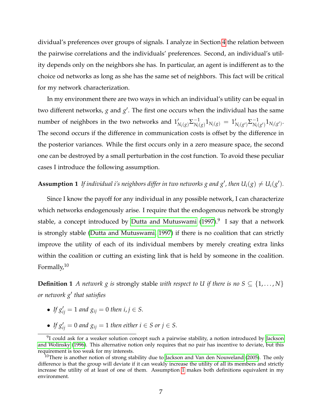dividual's preferences over groups of signals. I analyze in Section [4](#page-12-0) the relation between the pairwise correlations and the individuals' preferences. Second, an individual's utility depends only on the neighbors she has. In particular, an agent is indifferent as to the choice od networks as long as she has the same set of neighbors. This fact will be critical for my network characterization.

In my environment there are two ways in which an individual's utility can be equal in two different networks,  $g$  and  $g'$ . The first one occurs when the individual has the same number of neighbors in the two networks and  $1'_{N_i(g)}\Sigma_{N_i}^{-1}$  $\frac{-1}{N_i(g)} 1_{N_i(g)} = 1'_l$  $N_i(g')$   $\Sigma_{N_i(g)}^{-1}$  $\frac{1}{N_i(g')} 1_{N_i(g')}$ . The second occurs if the difference in communication costs is offset by the difference in the posterior variances. While the first occurs only in a zero measure space, the second one can be destroyed by a small perturbation in the cost function. To avoid these peculiar cases I introduce the following assumption.

## <span id="page-9-0"></span>**Assumption 1** If individual i's neighbors differ in two networks g and g', then  $U_i(g) \neq U_i(g')$ .

Since I know the payoff for any individual in any possible network, I can characterize which networks endogenously arise. I require that the endogenous network be strongly stable, a concept introduced by [Dutta and Mutuswami](#page-25-4) [\(1997\)](#page-25-4). $^9\,$  I say that a network is strongly stable [\(Dutta and Mutuswami, 1997\)](#page-25-4) if there is no coalition that can strictly improve the utility of each of its individual members by merely creating extra links within the coalition or cutting an existing link that is held by someone in the coalition. Formally,<sup>10</sup>

**Definition 1** *A network g is strongly stable with respect to U if there is no S*  $\subseteq$  {1, ..., *N*} *or network g*<sup>0</sup> *that satisfies*

- *If*  $g'_{ij} = 1$  *and*  $g_{ij} = 0$  *then*  $i, j \in S$ .
- If  $g'_{ij} = 0$  and  $g_{ij} = 1$  then either  $i \in S$  or  $j \in S$ .

 $9$ I could ask for a weaker solution concept such a pairwise stability, a notion introduced by [Jackson](#page-26-8) [and Wolinsky](#page-26-8) [\(1996\)](#page-26-8). This alternative notion only requires that no pair has incentive to deviate, but this requirement is too weak for my interests.

 $10$ There is another notion of strong stability due to [Jackson and Van den Nouweland](#page-26-9) [\(2005\)](#page-26-9). The only difference is that the group will deviate if it can weakly increase the utility of all its members and strictly increase the utility of at least of one of them. Assumption [1](#page-9-0) makes both definitions equivalent in my environment.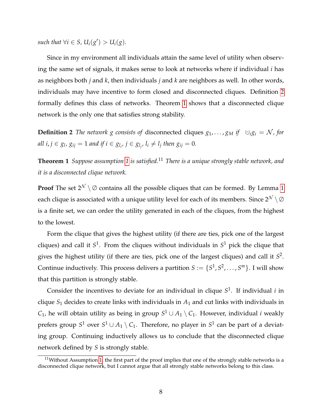$\mathcal{S} \text{ such that } \forall i \in S, U_i(g') > U_i(g).$ 

Since in my environment all individuals attain the same level of utility when observing the same set of signals, it makes sense to look at networks where if individual *i* has as neighbors both *j* and *k*, then individuals *j* and *k* are neighbors as well. In other words, individuals may have incentive to form closed and disconnected cliques. Definition [2](#page-10-0) formally defines this class of networks. Theorem [1](#page-10-1) shows that a disconnected clique network is the only one that satisfies strong stability.

<span id="page-10-0"></span>**Definition 2** *The network g consists of* disconnected cliques  $g_1, \ldots, g_M$  *if*  $\cup_i g_i = \mathcal{N}$ *, for all*  $i, j \in g_l, g_{ij} = 1$  and if  $i \in g_{l_i}, j \in g_{l_j}, l_i \neq l_j$  then  $g_{ij} = 0$ .

<span id="page-10-1"></span>**Theorem 1** *Suppose assumption [1](#page-9-0) is satisfied.*<sup>11</sup> *There is a unique strongly stable network, and it is a disconnected clique network.*

**Proof** The set  $2^N \setminus \emptyset$  contains all the possible cliques that can be formed. By Lemma [1](#page-8-0) each clique is associated with a unique utility level for each of its members. Since  $2^{\mathcal{N}} \setminus \emptyset$ is a finite set, we can order the utility generated in each of the cliques, from the highest to the lowest.

Form the clique that gives the highest utility (if there are ties, pick one of the largest cliques) and call it *S* 1 . From the cliques without individuals in *S* <sup>1</sup> pick the clique that gives the highest utility (if there are ties, pick one of the largest cliques) and call it *S* 2 . Continue inductively. This process delivers a partition  $S := \{S^1, S^2, \ldots, S^m\}$ . I will show that this partition is strongly stable.

Consider the incentives to deviate for an individual in clique *S* 1 . If individual *i* in clique *S*<sup>1</sup> decides to create links with individuals in *A*<sup>1</sup> and cut links with individuals in  $C_1$ , he will obtain utility as being in group  $S^1 \cup A_1 \setminus C_1$ . However, individual *i* weakly prefers group  $S^1$  over  $S^1 \cup A_1 \setminus C_1$ . Therefore, no player in  $S^1$  can be part of a deviating group. Continuing inductively allows us to conclude that the disconnected clique network defined by *S* is strongly stable.

 $11$ Without Assumption [1,](#page-9-0) the first part of the proof implies that one of the strongly stable networks is a disconnected clique network, but I cannot argue that all strongly stable networks belong to this class.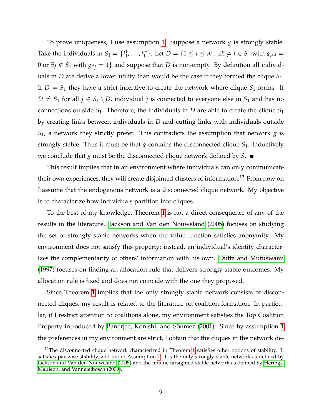To prove uniqueness, I use assumption [1.](#page-9-0) Suppose a network *g* is strongly stable. Take the individuals in  $S_1 = \{i_1^1\}$  $i_1^1, \ldots, i_1^m$  $\binom{m}{1}$ . Let  $D = \{1 \leq l \leq m : \exists k \neq l \in S^1 \text{ with } g_{i^k i^l} = 1\}$ 0 or ∃ $j \notin S_1$  with  $g_{i^l j} = 1$ } and suppose that  $D$  is non-empty. By definition all individuals in *D* are derive a lower utility than would be the case if they formed the clique *S*1. If  $D = S_1$  they have a strict incentive to create the network where clique  $S_1$  forms. If *D*  $\neq$  *S*<sub>1</sub> for all *j* ∈ *S*<sub>1</sub> \ *D*, individual *j* is connected to everyone else in *S*<sub>1</sub> and has no connections outside  $S_1$ . Therefore, the individuals in *D* are able to create the clique  $S_1$ by creating links between individuals in *D* and cutting links with individuals outside *S*1, a network they strictly prefer. This contradicts the assumption that network *g* is strongly stable. Thus it must be that  $g$  contains the disconnected clique  $S_1$ . Inductively we conclude that *g* must be the disconnected clique network defined by *S*.

This result implies that in an environment where individuals can only communicate their own experiences, they will create disjointed clusters of information.<sup>12</sup> From now on I assume that the endogenous network is a disconnected clique network. My objective is to characterize how individuals partition into cliques.

To the best of my knowledge, Theorem [1](#page-10-1) is not a direct consequence of any of the results in the literature. [Jackson and Van den Nouweland](#page-26-9) [\(2005\)](#page-26-9) focuses on studying the set of strongly stable networks when the value function satisfies anonymity. My environment does not satisfy this property; instead, an individual's identity characterizes the complementarity of others' information with his own. [Dutta and Mutuswami](#page-25-4) [\(1997\)](#page-25-4) focuses on finding an allocation rule that delivers strongly stable outcomes. My allocation rule is fixed and does not coincide with the one they proposed.

Since Theorem [1](#page-10-1) implies that the only strongly stable network consists of disconnected cliques, my result is related to the literature on coalition formation. In particular, if I restrict attention to coalitions alone, my environment satisfies the Top Coalition Property introduced by Banerjee, Konishi, and Sönmez [\(2001\)](#page-25-7). Since by assumption [1](#page-9-0) the preferences in my environment are strict, I obtain that the cliques in the network de-

<sup>&</sup>lt;sup>12</sup>The disconnected clique network characterized in Theorem [1](#page-10-1) satisfies other notions of stability. It satisfies pairwise stability, and under Assumption [1,](#page-9-0) it is the only strongly stable network as defined by [Jackson and Van den Nouweland](#page-26-9) [\(2005\)](#page-26-9) and the unique farsighted stable network as defined by [Herings,](#page-26-10) [Mauleon, and Vannetelbosch](#page-26-10) [\(2009\)](#page-26-10).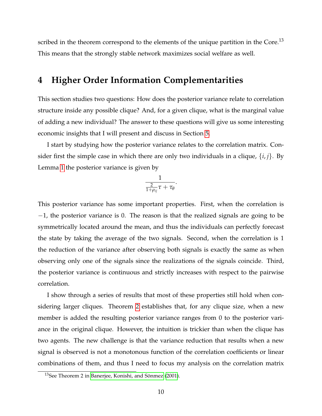scribed in the theorem correspond to the elements of the unique partition in the Core.<sup>13</sup> This means that the strongly stable network maximizes social welfare as well.

# <span id="page-12-0"></span>**4 Higher Order Information Complementarities**

This section studies two questions: How does the posterior variance relate to correlation structure inside any possible clique? And, for a given clique, what is the marginal value of adding a new individual? The answer to these questions will give us some interesting economic insights that I will present and discuss in Section [5.](#page-17-0)

I start by studying how the posterior variance relates to the correlation matrix. Consider first the simple case in which there are only two individuals in a clique,  $\{i, j\}$ . By Lemma [1](#page-8-0) the posterior variance is given by

$$
\frac{1}{\frac{2}{1+\rho_{ij}}\tau+\tau_\theta}
$$

.

This posterior variance has some important properties. First, when the correlation is −1, the posterior variance is 0. The reason is that the realized signals are going to be symmetrically located around the mean, and thus the individuals can perfectly forecast the state by taking the average of the two signals. Second, when the correlation is 1 the reduction of the variance after observing both signals is exactly the same as when observing only one of the signals since the realizations of the signals coincide. Third, the posterior variance is continuous and strictly increases with respect to the pairwise correlation.

I show through a series of results that most of these properties still hold when considering larger cliques. Theorem [2](#page-13-0) establishes that, for any clique size, when a new member is added the resulting posterior variance ranges from 0 to the posterior variance in the original clique. However, the intuition is trickier than when the clique has two agents. The new challenge is that the variance reduction that results when a new signal is observed is not a monotonous function of the correlation coefficients or linear combinations of them, and thus I need to focus my analysis on the correlation matrix

 $13$ See Theorem 2 in Banerjee, Konishi, and Sönmez [\(2001\)](#page-25-7).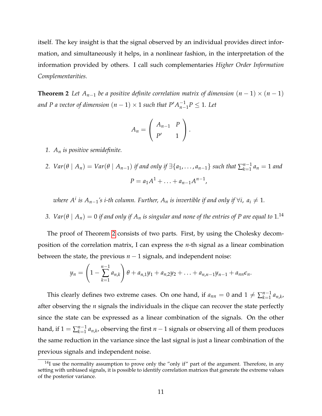itself. The key insight is that the signal observed by an individual provides direct information, and simultaneously it helps, in a nonlinear fashion, in the interpretation of the information provided by others. I call such complementaries *Higher Order Information Complementarities.*

<span id="page-13-0"></span>**Theorem 2** *Let*  $A_{n-1}$  *be a positive definite correlation matrix of dimension*  $(n-1) \times (n-1)$ *and P a vector of dimension*  $(n - 1) \times 1$  *such that P'*  $A_{n-1}^{-1}$  $\frac{-1}{n-1}P \leq 1$ *. Let* 

$$
A_n=\left(\begin{array}{cc}A_{n-1}&P\\P'&1\end{array}\right).
$$

- *1. A<sup>n</sup> is positive semidefinite.*
- 2.  $Var(\theta \mid A_n) = Var(\theta \mid A_{n-1})$  *if and only if*  $\exists \{a_1, \ldots, a_{n-1}\}$  *such that*  $\sum_{k=1}^{n-1}$  $\sum_{k=1}^{n-1} a_k = 1$  and  $P = a_1 A^1 + \ldots + a_{n-1} A^{n-1}$

 $i$  *where A<sup>i</sup> is A*<sub>*n*−1</sub>′s *i-th column. Further, A*<sub>*n</sub> is invertible if and only if*  $\forall i$ *, a*<sub>*i*</sub>  $\neq$  1*.*</sub>

*3.*  $\mathit{Var}(\theta \mid A_n) = 0$  if and only if  $A_n$  is singular and none of the entries of P are equal to  $1.^{14}$ 

The proof of Theorem [2](#page-13-0) consists of two parts. First, by using the Cholesky decomposition of the correlation matrix, I can express the *n*-th signal as a linear combination between the state, the previous  $n - 1$  signals, and independent noise:

$$
y_n = \left(1 - \sum_{k=1}^{n-1} a_{n,k}\right) \theta + a_{n,1}y_1 + a_{n,2}y_2 + \ldots + a_{n,n-1}y_{n-1} + a_{nn}\epsilon_n.
$$

This clearly defines two extreme cases. On one hand, if  $a_{nn} = 0$  and  $1 \neq \sum_{k=1}^{n-1}$  $\prod_{k=1}^{n-1} a_{n,k}$ after observing the *n* signals the individuals in the clique can recover the state perfectly since the state can be expressed as a linear combination of the signals. On the other hand, if  $1 = \sum_{k=1}^{n-1}$  $\sum_{k=1}^{n-1} a_{n,k}$ , observing the first  $n-1$  signals or observing all of them produces the same reduction in the variance since the last signal is just a linear combination of the previous signals and independent noise.

 $14$ I use the normality assumption to prove only the "only if" part of the argument. Therefore, in any setting with unbiased signals, it is possible to identify correlation matrices that generate the extreme values of the posterior variance.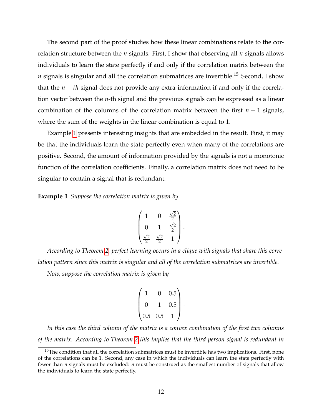The second part of the proof studies how these linear combinations relate to the correlation structure between the *n* signals. First, I show that observing all *n* signals allows individuals to learn the state perfectly if and only if the correlation matrix between the  $n$  signals is singular and all the correlation submatrices are invertible.<sup>15</sup> Second, I show that the *n* − *th* signal does not provide any extra information if and only if the correlation vector between the *n*-th signal and the previous signals can be expressed as a linear combination of the columns of the correlation matrix between the first *n* − 1 signals, where the sum of the weights in the linear combination is equal to 1.

Example [1](#page-14-0) presents interesting insights that are embedded in the result. First, it may be that the individuals learn the state perfectly even when many of the correlations are positive. Second, the amount of information provided by the signals is not a monotonic function of the correlation coefficients. Finally, a correlation matrix does not need to be singular to contain a signal that is redundant.

<span id="page-14-0"></span>**Example 1** *Suppose the correlation matrix is given by*

$$
\begin{pmatrix} 1 & 0 & \frac{\sqrt{2}}{2} \\ 0 & 1 & \frac{\sqrt{2}}{2} \\ \frac{\sqrt{2}}{2} & \frac{\sqrt{2}}{2} & 1 \end{pmatrix}.
$$

*According to Theorem [2,](#page-13-0) perfect learning occurs in a clique with signals that share this correlation pattern since this matrix is singular and all of the correlation submatrices are invertible.*

*Now, suppose the correlation matrix is given by*

$$
\begin{pmatrix} 1 & 0 & 0.5 \\ 0 & 1 & 0.5 \\ 0.5 & 0.5 & 1 \end{pmatrix}.
$$

*In this case the third column of the matrix is a convex combination of the first two columns of the matrix. According to Theorem [2](#page-13-0) this implies that the third person signal is redundant in*

 $15$ The condition that all the correlation submatrices must be invertible has two implications. First, none of the correlations can be 1. Second, any case in which the individuals can learn the state perfectly with fewer than *n* signals must be excluded: *n* must be construed as the smallest number of signals that allow the individuals to learn the state perfectly.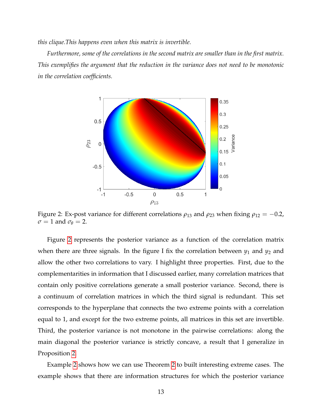*this clique.This happens even when this matrix is invertible.*

<span id="page-15-0"></span>*Furthermore, some of the correlations in the second matrix are smaller than in the first matrix. This exemplifies the argument that the reduction in the variance does not need to be monotonic in the correlation coefficients.*



Figure 2: Ex-post variance for different correlations  $\rho_{13}$  and  $\rho_{23}$  when fixing  $\rho_{12} = -0.2$ ,  $\sigma = 1$  and  $\sigma_{\theta} = 2$ .

Figure [2](#page-15-0) represents the posterior variance as a function of the correlation matrix when there are three signals. In the figure I fix the correlation between  $y_1$  and  $y_2$  and allow the other two correlations to vary. I highlight three properties. First, due to the complementarities in information that I discussed earlier, many correlation matrices that contain only positive correlations generate a small posterior variance. Second, there is a continuum of correlation matrices in which the third signal is redundant. This set corresponds to the hyperplane that connects the two extreme points with a correlation equal to 1, and except for the two extreme points, all matrices in this set are invertible. Third, the posterior variance is not monotone in the pairwise correlations: along the main diagonal the posterior variance is strictly concave, a result that I generalize in Proposition [2.](#page-17-1)

Example [2](#page-16-0) shows how we can use Theorem [2](#page-13-0) to built interesting extreme cases. The example shows that there are information structures for which the posterior variance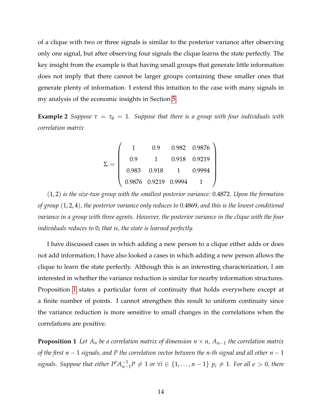of a clique with two or three signals is similar to the posterior variance after observing only one signal, but after observing four signals the clique learns the state perfectly. The key insight from the example is that having small groups that generate little information does not imply that there cannot be larger groups containing these smaller ones that generate plenty of information. I extend this intuition to the case with many signals in my analysis of the economic insights in Section [5.](#page-17-0)

<span id="page-16-0"></span>**Example 2** *Suppose*  $\tau = \tau_{\theta} = 1$ *. Suppose that there is a group with four individuals with correlation matrix*

$$
\Sigma = \left(\begin{array}{ccccc} 1 & 0.9 & 0.982 & 0.9876 \\ 0.9 & 1 & 0.918 & 0.9219 \\ 0.983 & 0.918 & 1 & 0.9994 \\ 0.9876 & 0.9219 & 0.9994 & 1 \end{array}\right)
$$

(1, 2) *is the size-two group with the smallest posterior variance:* 0.4872*. Upon the formation of group* (1, 2, 4)*, the posterior variance only reduces to* 0.4869*, and this is the lowest conditional variance in a group with three agents. However, the posterior variance in the clique with the four individuals reduces to* 0*; that is, the state is learned perfectly.*

I have discussed cases in which adding a new person to a clique either adds or does not add information; I have also looked a cases in which adding a new person allows the clique to learn the state perfectly. Although this is an interesting characterization, I am interested in whether the variance reduction is similar for nearby information structures. Proposition [1](#page-16-1) states a particular form of continuity that holds everywhere except at a finite number of points. I cannot strengthen this result to uniform continuity since the variance reduction is more sensitive to small changes in the correlations when the correlations are positive.

<span id="page-16-1"></span>**Proposition 1** *Let*  $A_n$  *be a correlation matrix of dimension n*  $\times$  *n,*  $A_{n-1}$  *the correlation matrix of the first n* − 1 *signals, and P the correlation vector between the n-th signal and all other n* − 1  $signals$ *. Suppose that either*  $P'A_{n-1}^{-1}$  $\begin{array}{l} \n\overline{\phantom{a}}^{1}P \neq 1 \text{ or } \forall i \in \{1,\ldots,n-1\} \ p_i \neq 1. \ \text{For all } \epsilon > 0, \text{ there} \n\end{array}$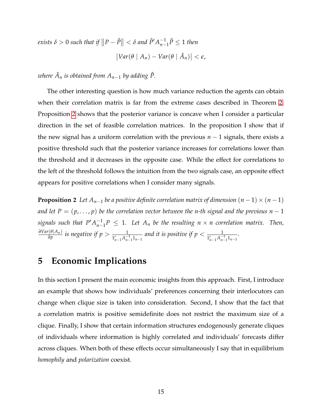$\text{exists} \ \delta > 0 \ \text{such that if } \left\|P - \hat{P}\right\| < \delta \ \text{and} \ \hat{P}' A^{-1}_{n-1}$  $\sum_{n-1}^{-1}$  $\hat{P}$  ≤ 1 *then*  $\left| Var(\theta \mid A_n) - Var(\theta \mid \hat{A}_n) \right| < \epsilon$ ,

 $\nu$ *kere*  $\hat{A}_n$  *is obtained from*  $A_{n-1}$  *by adding*  $\hat{P}$ *.* 

The other interesting question is how much variance reduction the agents can obtain when their correlation matrix is far from the extreme cases described in Theorem [2.](#page-13-0) Proposition [2](#page-17-1) shows that the posterior variance is concave when I consider a particular direction in the set of feasible correlation matrices. In the proposition I show that if the new signal has a uniform correlation with the previous *n* − 1 signals, there exists a positive threshold such that the posterior variance increases for correlations lower than the threshold and it decreases in the opposite case. While the effect for correlations to the left of the threshold follows the intuition from the two signals case, an opposite effect appears for positive correlations when I consider many signals.

<span id="page-17-1"></span>**Proposition 2** *Let*  $A_{n-1}$  *be a positive definite correlation matrix of dimension*  $(n-1) \times (n-1)$ *and let*  $P = (p, ..., p)$  *be the correlation vector between the n-th signal and the previous n – 1*  $signals$  such that  $P'A_{n-}^{-1}$ *n*−1 *P* ≤ 1*. Let A<sup>n</sup> be the resulting n* × *n correlation matrix. Then, ∂Var*(*θ*|*An*)  $\frac{1}{\theta p}$  is negative if  $p > \frac{1}{1'_{n-1}A_{n-1}^{-1}1_{n-1}}$  and it is positive if  $p < \frac{1}{1'_{n-1}A_{n-1}^{-1}1_{n-1}}$ .

## <span id="page-17-0"></span>**5 Economic Implications**

In this section I present the main economic insights from this approach. First, I introduce an example that shows how individuals' preferences concerning their interlocutors can change when clique size is taken into consideration. Second, I show that the fact that a correlation matrix is positive semidefinite does not restrict the maximum size of a clique. Finally, I show that certain information structures endogenously generate cliques of individuals where information is highly correlated and individuals' forecasts differ across cliques. When both of these effects occur simultaneously I say that in equilibrium *homophily* and *polarization* coexist.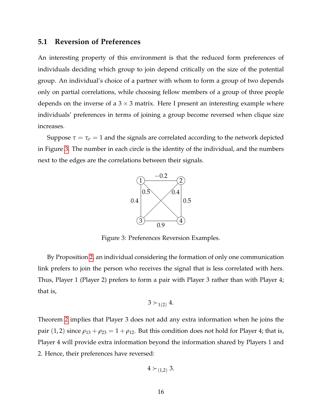## <span id="page-18-0"></span>**5.1 Reversion of Preferences**

An interesting property of this environment is that the reduced form preferences of individuals deciding which group to join depend critically on the size of the potential group. An individual's choice of a partner with whom to form a group of two depends only on partial correlations, while choosing fellow members of a group of three people depends on the inverse of a  $3 \times 3$  matrix. Here I present an interesting example where individuals' preferences in terms of joining a group become reversed when clique size increases.

<span id="page-18-1"></span>Suppose  $\tau = \tau_{\sigma} = 1$  and the signals are correlated according to the network depicted in Figure [3.](#page-18-1) The number in each circle is the identity of the individual, and the numbers next to the edges are the correlations between their signals.



Figure 3: Preferences Reversion Examples.

By Proposition [2,](#page-17-1) an individual considering the formation of only one communication link prefers to join the person who receives the signal that is less correlated with hers. Thus, Player 1 (Player 2) prefers to form a pair with Player 3 rather than with Player 4; that is,

$$
3\succ_{1(2)}4.
$$

Theorem [2](#page-13-0) implies that Player 3 does not add any extra information when he joins the pair (1, 2) since  $\rho_{13} + \rho_{23} = 1 + \rho_{12}$ . But this condition does not hold for Player 4; that is, Player 4 will provide extra information beyond the information shared by Players 1 and 2. Hence, their preferences have reversed:

$$
4\succ_{(1,2)}3.
$$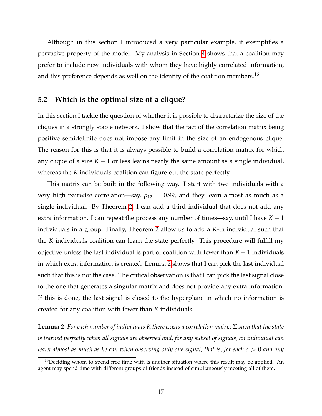Although in this section I introduced a very particular example, it exemplifies a pervasive property of the model. My analysis in Section [4](#page-12-0) shows that a coalition may prefer to include new individuals with whom they have highly correlated information, and this preference depends as well on the identity of the coalition members.<sup>16</sup>

## <span id="page-19-0"></span>**5.2 Which is the optimal size of a clique?**

In this section I tackle the question of whether it is possible to characterize the size of the cliques in a strongly stable network. I show that the fact of the correlation matrix being positive semidefinite does not impose any limit in the size of an endogenous clique. The reason for this is that it is always possible to build a correlation matrix for which any clique of a size  $K - 1$  or less learns nearly the same amount as a single individual, whereas the *K* individuals coalition can figure out the state perfectly.

This matrix can be built in the following way. I start with two individuals with a very high pairwise correlation—say,  $\rho_{12} = 0.99$ , and they learn almost as much as a single individual. By Theorem [2,](#page-13-0) I can add a third individual that does not add any extra information. I can repeat the process any number of times—say, until I have  $K - 1$ individuals in a group. Finally, Theorem [2](#page-13-0) allow us to add a *K*-th individual such that the *K* individuals coalition can learn the state perfectly. This procedure will fulfill my objective unless the last individual is part of coalition with fewer than *K* − 1 individuals in which extra information is created. Lemma [2](#page-19-1) shows that I can pick the last individual such that this is not the case. The critical observation is that I can pick the last signal close to the one that generates a singular matrix and does not provide any extra information. If this is done, the last signal is closed to the hyperplane in which no information is created for any coalition with fewer than *K* individuals.

<span id="page-19-1"></span>**Lemma 2** *For each number of individuals K there exists a correlation matrix* Σ *such that the state is learned perfectly when all signals are observed and, for any subset of signals, an individual can learn almost as much as he can when observing only one signal; that is, for each e* > 0 *and any*

 $16$ Deciding whom to spend free time with is another situation where this result may be applied. An agent may spend time with different groups of friends instead of simultaneously meeting all of them.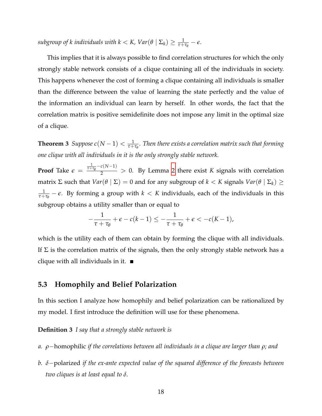$s$ *ubgroup of k individuals with k* < *K*,  $Var(\theta | \Sigma_k) \ge \frac{1}{\tau + \tau_\theta} - \epsilon$ .

This implies that it is always possible to find correlation structures for which the only strongly stable network consists of a clique containing all of the individuals in society. This happens whenever the cost of forming a clique containing all individuals is smaller than the difference between the value of learning the state perfectly and the value of the information an individual can learn by herself. In other words, the fact that the correlation matrix is positive semidefinite does not impose any limit in the optimal size of a clique.

**Theorem 3** Suppose  $c(N-1) < \frac{1}{\tau+\tau_{\theta}}$ . Then there exists a correlation matrix such that forming *one clique with all individuals in it is the only strongly stable network.*

**Proof** Take  $\epsilon =$  $\frac{1}{\tau + \tau_{\theta}} - c(N-1)$  > 0. By Lemma [2](#page-19-1) there exist *K* signals with correlation matrix Σ such that  $Var(\theta | \Sigma) = 0$  and for any subgroup of  $k < K$  signals  $Var(\theta | \Sigma_k) \ge$  $\frac{1}{\tau+\tau_{\theta}}-\epsilon$ . By forming a group with  $k < K$  individuals, each of the individuals in this subgroup obtains a utility smaller than or equal to

$$
-\frac{1}{\tau+\tau_{\theta}}+\epsilon-c(k-1)\leq-\frac{1}{\tau+\tau_{\theta}}+\epsilon<-c(K-1),
$$

which is the utility each of them can obtain by forming the clique with all individuals. If  $\Sigma$  is the correlation matrix of the signals, then the only strongly stable network has a clique with all individuals in it.  $\blacksquare$ 

## <span id="page-20-0"></span>**5.3 Homophily and Belief Polarization**

In this section I analyze how homophily and belief polarization can be rationalized by my model. I first introduce the definition will use for these phenomena.

**Definition 3** *I say that a strongly stable network is*

- *a. ρ*−homophilic *if the correlations between all individuals in a clique are larger than ρ; and*
- *b. δ*−polarized *if the ex-ante expected value of the squared difference of the forecasts between two cliques is at least equal to δ.*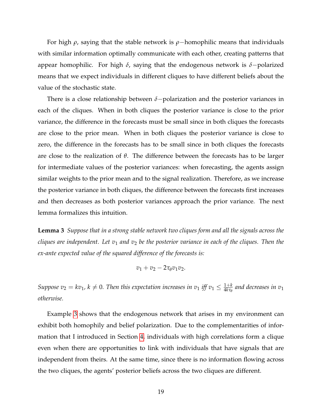For high *ρ*, saying that the stable network is *ρ*−homophilic means that individuals with similar information optimally communicate with each other, creating patterns that appear homophilic. For high *δ*, saying that the endogenous network is *δ*−polarized means that we expect individuals in different cliques to have different beliefs about the value of the stochastic state.

There is a close relationship between *δ*−polarization and the posterior variances in each of the cliques. When in both cliques the posterior variance is close to the prior variance, the difference in the forecasts must be small since in both cliques the forecasts are close to the prior mean. When in both cliques the posterior variance is close to zero, the difference in the forecasts has to be small since in both cliques the forecasts are close to the realization of *θ*. The difference between the forecasts has to be larger for intermediate values of the posterior variances: when forecasting, the agents assign similar weights to the prior mean and to the signal realization. Therefore, as we increase the posterior variance in both cliques, the difference between the forecasts first increases and then decreases as both posterior variances approach the prior variance. The next lemma formalizes this intuition.

<span id="page-21-1"></span>**Lemma 3** *Suppose that in a strong stable network two cliques form and all the signals across the cliques are independent. Let v*<sup>1</sup> *and v*<sup>2</sup> *be the posterior variance in each of the cliques. Then the ex-ante expected value of the squared difference of the forecasts is:*

$$
v_1+v_2-2\tau_\theta v_1v_2.
$$

*Suppose*  $v_2 = kv_1$ *,*  $k \neq 0$ *. Then this expectation increases in*  $v_1$  *iff*  $v_1 \leq \frac{1+k}{4k\tau_\theta}$  *and decreases in*  $v_1$ *otherwise.*

<span id="page-21-0"></span>Example [3](#page-21-0) shows that the endogenous network that arises in my environment can exhibit both homophily and belief polarization. Due to the complementarities of information that I introduced in Section [4,](#page-12-0) individuals with high correlations form a clique even when there are opportunities to link with individuals that have signals that are independent from theirs. At the same time, since there is no information flowing across the two cliques, the agents' posterior beliefs across the two cliques are different.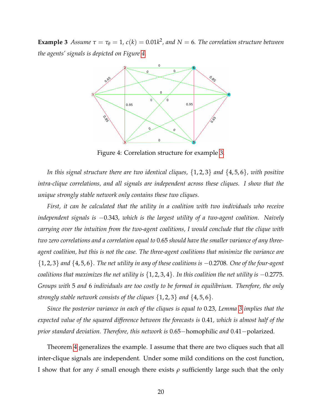<span id="page-22-0"></span>**Example 3** *Assume*  $\tau = \tau_{\theta} = 1$ ,  $c(k) = 0.01k^2$ , and  $N = 6$ . The correlation structure between *the agents' signals is depicted on Figure [4.](#page-22-0)*



Figure 4: Correlation structure for example [3.](#page-21-0)

*In this signal structure there are two identical cliques,* {1, 2, 3} *and* {4, 5, 6}*, with positive intra-clique correlations, and all signals are independent across these cliques. I show that the unique strongly stable network only contains these two cliques.*

*First, it can be calculated that the utility in a coalition with two individuals who receive independent signals is* −0.343*, which is the largest utility of a two-agent coalition. Naively carrying over the intuition from the two-agent coalitions, I would conclude that the clique with two zero correlations and a correlation equal to* 0.65 *should have the smaller variance of any threeagent coalition, but this is not the case. The three-agent coalitions that minimize the variance are* {1, 2, 3} *and* {4, 5, 6}*. The net utility in any of these coalitions is* −0.2708*. One of the four-agent coalitions that maximizes the net utility is* {1, 2, 3, 4}*. In this coalition the net utility is* −0.2775*. Groups with* 5 *and* 6 *individuals are too costly to be formed in equilibrium. Therefore, the only strongly stable network consists of the cliques* {1, 2, 3} *and* {4, 5, 6}*.*

*Since the posterior variance in each of the cliques is equal to* 0.23*, Lemma [3](#page-21-1) implies that the expected value of the squared difference between the forecasts is* 0.41*, which is almost half of the prior standard deviation. Therefore, this network is* 0.65−homophilic *and* 0.41−polarized*.*

Theorem [4](#page-23-0) generalizes the example. I assume that there are two cliques such that all inter-clique signals are independent. Under some mild conditions on the cost function, I show that for any *δ* small enough there exists *ρ* sufficiently large such that the only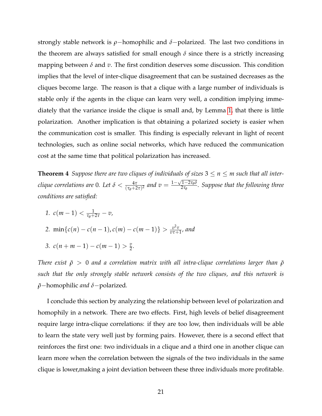strongly stable network is *ρ*−homophilic and *δ*−polarized. The last two conditions in the theorem are always satisfied for small enough  $\delta$  since there is a strictly increasing mapping between *δ* and *v*. The first condition deserves some discussion. This condition implies that the level of inter-clique disagreement that can be sustained decreases as the cliques become large. The reason is that a clique with a large number of individuals is stable only if the agents in the clique can learn very well, a condition implying immediately that the variance inside the clique is small and, by Lemma [1,](#page-24-1) that there is little polarization. Another implication is that obtaining a polarized society is easier when the communication cost is smaller. This finding is especially relevant in light of recent technologies, such as online social networks, which have reduced the communication cost at the same time that political polarization has increased.

<span id="page-23-0"></span>**Theorem 4** Suppose there are two cliques of individuals of sizes  $3 \le n \le m$  such that all inter*clique correlations are* 0*.* Let  $\delta < \frac{4\tau}{(\tau_{\theta}+2\tau)^2}$  and  $v = \frac{1-\sqrt{1-2\tau_{\theta}\delta}}{2\tau_{\theta}}$ 2*τ<sup>θ</sup> . Suppose that the following three conditions are satisfied:*

- *1.*  $c(m-1) < \frac{1}{\tau_{\theta}+2\tau} v$ ,
- 2. min $\{c(n) c(n-1), c(m) c(m-1)\} > \frac{v^2 \tau}{n \tau + 1}$ *vτ*+1 *, and*
- 3.  $c(n+m-1) c(m-1) > \frac{v}{2}$ .

*There exist*  $\tilde{\rho} > 0$  *and a correlation matrix with all intra-clique correlations larger than*  $\tilde{\rho}$ *such that the only strongly stable network consists of the two cliques, and this network is*  $$ 

I conclude this section by analyzing the relationship between level of polarization and homophily in a network. There are two effects. First, high levels of belief disagreement require large intra-clique correlations: if they are too low, then individuals will be able to learn the state very well just by forming pairs. However, there is a second effect that reinforces the first one: two individuals in a clique and a third one in another clique can learn more when the correlation between the signals of the two individuals in the same clique is lower,making a joint deviation between these three individuals more profitable.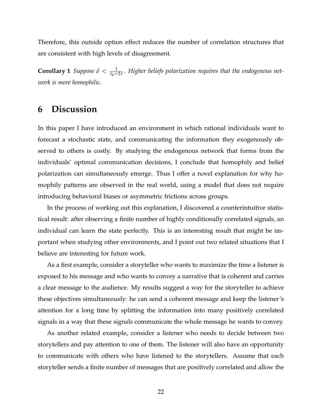Therefore, this outside option effect reduces the number of correlation structures that are consistent with high levels of disagreement.

<span id="page-24-1"></span>**Corollary 1** *Suppose*  $\delta < \frac{1}{\tau_{\theta}+2\tau}$ . Higher beliefs polarization requires that the endogenous net*work is more homophilic.*

# <span id="page-24-0"></span>**6 Discussion**

In this paper I have introduced an environment in which rational individuals want to forecast a stochastic state, and communicating the information they exogenously observed to others is costly. By studying the endogenous network that forms from the individuals' optimal communication decisions, I conclude that homophily and belief polarization can simultaneously emerge. Thus I offer a novel explanation for why homophily patterns are observed in the real world, using a model that does not require introducing behavioral biases or asymmetric frictions across groups.

In the process of working out this explanation, I discovered a counterintuitive statistical result: after observing a finite number of highly conditionally correlated signals, an individual can learn the state perfectly. This is an interesting result that might be important when studying other environments, and I point out two related situations that I believe are interesting for future work.

As a first example, consider a storyteller who wants to maximize the time a listener is exposed to his message and who wants to convey a narrative that is coherent and carries a clear message to the audience. My results suggest a way for the storyteller to achieve these objectives simultaneously: he can send a coherent message and keep the listener's attention for a long time by splitting the information into many positively correlated signals in a way that these signals communicate the whole message he wants to convey.

As another related example, consider a listener who needs to decide between two storytellers and pay attention to one of them. The listener will also have an opportunity to communicate with others who have listened to the storytellers. Assume that each storyteller sends a finite number of messages that are positively correlated and allow the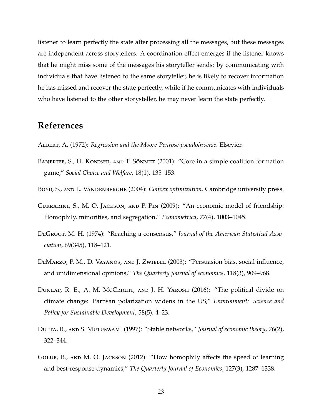listener to learn perfectly the state after processing all the messages, but these messages are independent across storytellers. A coordination effect emerges if the listener knows that he might miss some of the messages his storyteller sends: by communicating with individuals that have listened to the same storyteller, he is likely to recover information he has missed and recover the state perfectly, while if he communicates with individuals who have listened to the other storysteller, he may never learn the state perfectly.

# **References**

- <span id="page-25-6"></span>Albert, A. (1972): *Regression and the Moore-Penrose pseudoinverse*. Elsevier.
- <span id="page-25-7"></span>BANERJEE, S., H. KONISHI, AND T. SÖNMEZ (2001): "Core in a simple coalition formation game," *Social Choice and Welfare*, 18(1), 135–153.
- <span id="page-25-8"></span>Boyd, S., and L. Vandenberghe (2004): *Convex optimization*. Cambridge university press.
- <span id="page-25-2"></span>Currarini, S., M. O. Jackson, and P. Pin (2009): "An economic model of friendship: Homophily, minorities, and segregation," *Econometrica*, 77(4), 1003–1045.
- <span id="page-25-0"></span>DeGroot, M. H. (1974): "Reaching a consensus," *Journal of the American Statistical Association*, 69(345), 118–121.
- <span id="page-25-1"></span>DeMarzo, P. M., D. Vayanos, and J. Zwiebel (2003): "Persuasion bias, social influence, and unidimensional opinions," *The Quarterly journal of economics*, 118(3), 909–968.
- <span id="page-25-3"></span>DUNLAP, R. E., A. M. McCRIGHT, AND J. H. YAROSH (2016): "The political divide on climate change: Partisan polarization widens in the US," *Environment: Science and Policy for Sustainable Development*, 58(5), 4–23.
- <span id="page-25-4"></span>Dutta, B., and S. Mutuswami (1997): "Stable networks," *Journal of economic theory*, 76(2), 322–344.
- <span id="page-25-5"></span>Golub, B., and M. O. Jackson (2012): "How homophily affects the speed of learning and best-response dynamics," *The Quarterly Journal of Economics*, 127(3), 1287–1338.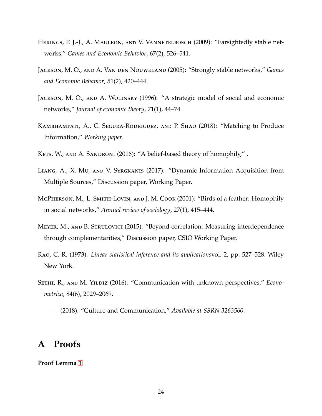- <span id="page-26-10"></span>Herings, P. J.-J., A. Mauleon, and V. Vannetelbosch (2009): "Farsightedly stable networks," *Games and Economic Behavior*, 67(2), 526–541.
- <span id="page-26-9"></span>Jackson, M. O., and A. Van den Nouweland (2005): "Strongly stable networks," *Games and Economic Behavior*, 51(2), 420–444.
- <span id="page-26-8"></span>JACKSON, M. O., AND A. WOLINSKY (1996): "A strategic model of social and economic networks," *Journal of economic theory*, 71(1), 44–74.
- <span id="page-26-5"></span>Kambhampati, A., C. Segura-Rodriguez, and P. Shao (2018): "Matching to Produce Information," *Working paper*.
- <span id="page-26-1"></span>KETS, W., AND A. SANDRONI (2016): "A belief-based theory of homophily,".
- <span id="page-26-4"></span>Liang, A., X. Mu, and V. Syrgkanis (2017): "Dynamic Information Acquisition from Multiple Sources," Discussion paper, Working Paper.
- <span id="page-26-2"></span>McPherson, M., L. Smith-Lovin, and J. M. Cook (2001): "Birds of a feather: Homophily in social networks," *Annual review of sociology*, 27(1), 415–444.
- <span id="page-26-7"></span>Meyer, M., and B. Strulovici (2015): "Beyond correlation: Measuring interdependence through complementarities," Discussion paper, CSIO Working Paper.
- <span id="page-26-11"></span>Rao, C. R. (1973): *Linear statistical inference and its applications*vol. 2, pp. 527–528. Wiley New York.
- <span id="page-26-3"></span>Sethi, R., and M. Yildiz (2016): "Communication with unknown perspectives," *Econometrica*, 84(6), 2029–2069.

# <span id="page-26-0"></span>**A Proofs**

**Proof Lemma [1](#page-8-0)**

<span id="page-26-6"></span><sup>(2018): &</sup>quot;Culture and Communication," *Available at SSRN 3263560*.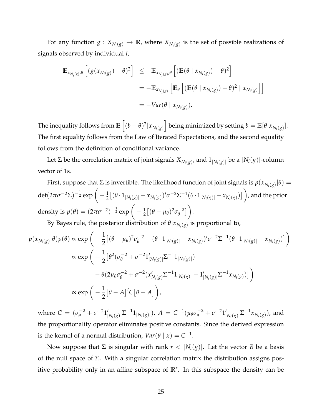For any function  $g: X_{N_i(g)} \to \mathbb{R}$ , where  $X_{N_i(g)}$  is the set of possible realizations of signals observed by individual *i*,

$$
-\mathbb{E}_{x_{N_i(g)},\theta}\left[\left(g(x_{N_i(g)})-\theta\right)^2\right] \leq -\mathbb{E}_{x_{N_i(g)},\theta}\left[\left(\mathbb{E}(\theta \mid x_{N_i(g)})-\theta\right)^2\right]
$$
  

$$
=-\mathbb{E}_{x_{N_i(g)}}\left[\mathbb{E}_{\theta}\left[\left(\mathbb{E}(\theta \mid x_{N_i(g)})-\theta\right)^2 \mid x_{N_i(g)}\right]\right]
$$
  

$$
=-Var(\theta \mid x_{N_i(g)}).
$$

The inequality follows from  $\mathbb{E}\left[(b-\theta)^2|x_{N_i(g)}\right]$  being minimized by setting  $b=\mathbb{E}[\theta|x_{N_i(g)}].$ The first equality follows from the Law of Iterated Expectations, and the second equality follows from the definition of conditional variance.

Let  $\Sigma$  be the correlation matrix of joint signals  $X_{N_i(g)}$ , and  $1_{|N_i(g)|}$  be a  $|N_i(g)|$ -column vector of 1s.

First, suppose that Σ is invertible. The likelihood function of joint signals is  $p(x_{N_i(g)}|\theta) =$  $\det(2\pi\sigma^{-2}\Sigma)^{-\frac{1}{2}}\exp\bigg(-\tfrac{1}{2}\big[(\theta\cdot 1_{|N_i(g)|}-x_{N_i(g)})'\sigma^{-2}\Sigma^{-1}(\theta\cdot 1_{|N_i(g)|}-x_{N_i(g)})\big]\bigg)$ , and the prior density is  $p(\theta) = (2\pi\sigma^{-2})^{-\frac{1}{2}}\exp\bigg(-\frac{1}{2}\big[(\theta-\mu_\theta)^2\sigma_\theta^{-2}$ *θ* .

By Bayes rule, the posterior distribution of  $\theta | x_{N_i(g)}$  is proportional to,

$$
p(x_{N_i(g)}|\theta)p(\theta) \propto \exp\left(-\frac{1}{2}\big[(\theta-\mu_{\theta})^2\sigma_{\theta}^{-2} + (\theta \cdot 1_{|N_i(g)|} - x_{N_i(g)})'\sigma^{-2}\Sigma^{-1}(\theta \cdot 1_{|N_i(g)|} - x_{N_i(g)})\big]\right)
$$
  

$$
\propto \exp\left(-\frac{1}{2}\big[\theta^2(\sigma_{\theta}^{-2} + \sigma^{-2}1'_{|N_i(g)|}\Sigma^{-1}1_{|N_i(g)|})
$$
  

$$
-\theta(2\mu_{\theta}\sigma_{\theta}^{-2} + \sigma^{-2}(x'_{N_i(g)}\Sigma^{-1}1_{|N_i(g)|} + 1'_{|N_i(g)|}\Sigma^{-1}x_{N_i(g)})\big]\right)
$$
  

$$
\propto \exp\left(-\frac{1}{2}\big[\theta - A\big]'\mathcal{C}[\theta - A]\right),
$$

where  $C = (\sigma_{\theta}^{-2} + \sigma^{-2}1)$  $|N_i(g)|^{\sum_{i=1}^{n} |N_i(g)|}$ ,  $A = C^{-1}(\mu_{\theta} \sigma_{\theta}^{-2} + \sigma^{-2}1)$  $\sum_{|N_i(g)|} \sum^{-1} x_{N_i(g)})$ , and the proportionality operator eliminates positive constants. Since the derived expression is the kernel of a normal distribution,  $Var(\theta | x) = C^{-1}$ .

Now suppose that Σ is singular with rank  $r < |N_i(g)|$ . Let the vector *B* be a basis of the null space of Σ. With a singular correlation matrix the distribution assigns positive probability only in an affine subspace of **R***<sup>r</sup>* . In this subspace the density can be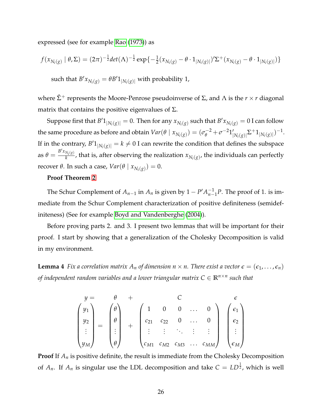expressed (see for example [Rao](#page-26-11) [\(1973\)](#page-26-11)) as

$$
f(x_{N_i(g)} | \theta, \Sigma) = (2\pi)^{-\frac{1}{2}} det(\Lambda)^{-\frac{1}{2}} exp{-\frac{1}{2}(x_{N_i(g)} - \theta \cdot 1_{|N_i(g)|})'\Sigma^{+}(x_{N_i(g)} - \theta \cdot 1_{|N_i(g)|}) }
$$

such that  $B'x_{N_i(g)} = \theta B'1_{|N_i(g)|}$  with probability 1,

where  $\hat{\Sigma}^+$  represents the Moore-Penrose pseudoinverse of  $\Sigma$ , and  $\Lambda$  is the  $r \times r$  diagonal matrix that contains the positive eigenvalues of  $\Sigma$ .

Suppose first that  $B'1_{|N_i(g)|} = 0$ . Then for any  $x_{N_i(g)}$  such that  $B'x_{N_i(g)} = 0$  I can follow the same procedure as before and obtain  $Var(\theta | x_{N_i(g)}) = (\sigma_\theta^{-2} + \sigma^{-2}1_\theta^d)$  $\sum_{|N_i(g)|}^{} \sum_{+} 1_{|N_i(g)|}^{})^{-1}.$ If in the contrary,  $B'1_{|N_i(g)|} = k \neq 0$  I can rewrite the condition that defines the subspace as  $\theta = \frac{B'x_{N_i(g)}}{k}$  $\frac{k_{i}(g)}{k}$ , that is, after observing the realization  $x_{N_{i}(g)}$ , the individuals can perfectly recover *θ*. In such a case,  $Var(\theta | x_{N_i(g)}) = 0$ .

#### **Proof Theorem [2](#page-13-0)**

The Schur Complement of  $A_{n-1}$  in  $A_n$  is given by  $1 - P' A_{n-1}^{-1}$ *n*−1 *P*. The proof of 1. is immediate from the Schur Complement characterization of positive definiteness (semidefiniteness) (See for example [Boyd and Vandenberghe](#page-25-8) [\(2004\)](#page-25-8)).

Before proving parts 2. and 3. I present two lemmas that will be important for their proof. I start by showing that a generalization of the Cholesky Decomposition is valid in my environment.

**Lemma 4** *Fix a correlation matrix*  $A_n$  *of dimension*  $n \times n$ *. There exist a vector*  $\epsilon = (\epsilon_1, \dots, \epsilon_n)$ *of independent random variables and a lower triangular matrix C* ∈ **R***n*×*<sup>n</sup> such that*

$$
\begin{pmatrix}\ny = & \theta & + & C & \epsilon \\
y_1 & & & & \\
y_2 & & & & \\
\vdots & & & & \\
y_M\n\end{pmatrix}\n=\n\begin{pmatrix}\n\theta \\
\theta \\
\vdots \\
\theta\n\end{pmatrix}\n+\n\begin{pmatrix}\n1 & 0 & 0 & \dots & 0 \\
c_{21} & c_{22} & 0 & \dots & 0 \\
\vdots & & \vdots & \ddots & \vdots & \vdots \\
c_{M1} & c_{M2} & c_{M3} & \dots & c_{MM}\n\end{pmatrix}\n\begin{pmatrix}\n\epsilon_1 \\
\epsilon_2 \\
\vdots \\
\epsilon_M\n\end{pmatrix}
$$

**Proof** If *A<sup>n</sup>* is positive definite, the result is immediate from the Cholesky Decomposition of  $A_n$ . If  $A_n$  is singular use the LDL decomposition and take  $C = LD^{\frac{1}{2}}$ , which is well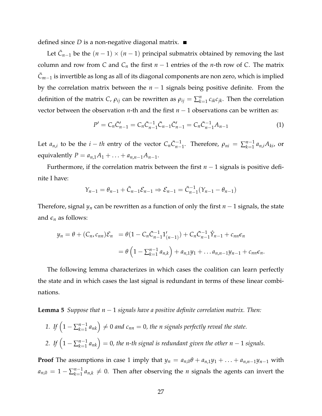defined since *D* is a non-negative diagonal matrix.

Let  $\bar{C}_{n-1}$  be the  $(n-1) \times (n-1)$  principal submatrix obtained by removing the last column and row from *C* and  $C_n$  the first  $n-1$  entries of the *n*-th row of *C*. The matrix  $\bar{C}_{m-1}$  is invertible as long as all of its diagonal components are non zero, which is implied by the correlation matrix between the *n* − 1 signals being positive definite. From the definition of the matrix *C*,  $\rho_{ij}$  can be rewritten as  $\rho_{ij} = \sum_{k=1}^{n} c_{ik} c_{jk}$ . Then the correlation vector between the observation *n*-th and the first  $n - 1$  observations can be written as:

$$
P' = C_n \bar{C}_{n-1}' = C_n \bar{C}_{n-1}^{-1} \bar{C}_{n-1} \bar{C}_{n-1}' = C_n \bar{C}_{n-1}^{-1} A_{n-1}
$$
(1)

Let  $a_{n,i}$  to be the  $i - th$  entry of the vector  $C_n \bar{C}_{n-1}^{-1}$ . Therefore,  $\rho_{ni} = \sum_{k=1}^{n-1}$  $\sum_{k=1}^{n-1} a_{n,i} A_{ki}$ , or equivalently  $P = a_{n,1}A_1 + ... + a_{n,n-1}A_{n-1}$ .

Furthermore, if the correlation matrix between the first *n* − 1 signals is positive definite I have:

$$
Y_{n-1} = \theta_{n-1} + \bar{C}_{n-1} \mathcal{E}_{n-1} \Rightarrow \mathcal{E}_{n-1} = \bar{C}_{n-1}^{-1} (Y_{n-1} - \theta_{n-1})
$$

Therefore, signal *y<sup>n</sup>* can be rewritten as a function of only the first *n* − 1 signals, the state and  $\epsilon_n$  as follows:

$$
y_n = \theta + (C_n, c_{nn})\mathcal{E}_n = \theta(1 - C_n\bar{C}_{n-1}^{-1}1'_{(n-1)}) + C_n\bar{C}_{n-1}^{-1}\hat{Y}_{n-1} + c_{nn}\epsilon_n
$$
  
=  $\theta\left(1 - \sum_{k=1}^{n-1} a_{n,k}\right) + a_{n,1}y_1 + \dots + a_{n,n-1}y_{n-1} + c_{nn}\epsilon_n.$ 

The following lemma characterizes in which cases the coalition can learn perfectly the state and in which cases the last signal is redundant in terms of these linear combinations.

<span id="page-29-0"></span>**Lemma 5** *Suppose that n* − 1 *signals have a positive definite correlation matrix. Then:*

*1. If*  $\left(1 - \sum_{k=1}^{n-1} \right)$  $\binom{n-1}{k=1}$   $a_{nk}$   $\Big) \neq 0$  and  $c_{nn} = 0$ , the n signals perfectly reveal the state. 2. *If*  $\left(1 - \sum_{k=1}^{n-1} \right)$  $\binom{n-1}{k-1}$   $a_{nk}$   $\Big) = 0$ , the n-th signal is redundant given the other  $n-1$  signals.

**Proof** The assumptions in case 1 imply that  $y_n = a_{n,0}\theta + a_{n,1}y_1 + \ldots + a_{n,n-1}y_{n-1}$  with  $a_{n,0} = 1 - \sum_{k=1}^{n-1}$  $a_{k=1}^{n-1} a_{n,k} \neq 0$ . Then after observing the *n* signals the agents can invert the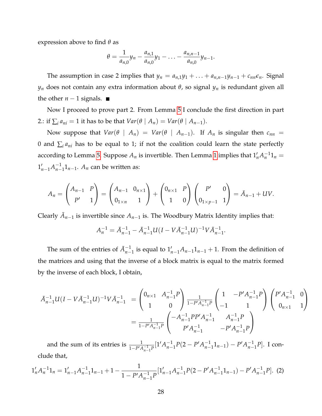expression above to find *θ* as

$$
\theta = \frac{1}{a_{n,0}}y_n - \frac{a_{n,1}}{a_{n,0}}y_1 - \ldots - \frac{a_{n,n-1}}{a_{n,0}}y_{n-1}.
$$

The assumption in case 2 implies that  $y_n = a_{n,1}y_1 + \ldots + a_{n,n-1}y_{n-1} + c_{nn}\epsilon_n$ . Signal *y<sup>n</sup>* does not contain any extra information about *θ*, so signal *y<sup>n</sup>* is redundant given all the other  $n-1$  signals.  $\blacksquare$ 

Now I proceed to prove part 2. From Lemma [5](#page-29-0) I conclude the first direction in part 2.: if  $\sum_{i} a_{ni} = 1$  it has to be that  $Var(\theta | A_n) = Var(\theta | A_{n-1}).$ 

Now suppose that  $Var(\theta | A_n) = Var(\theta | A_{n-1})$ . If  $A_n$  is singular then  $c_{nn}$ 0 and  $\sum_{i} a_{ni}$  has to be equal to 1; if not the coalition could learn the state perfectly according to Lemma [5.](#page-29-0) Suppose  $A_n$  is invertible. Then Lemma [1](#page-8-0) implies that  $1'_nA_n^{-1}1_n =$  $1'_{n-1}A_{n-}^{-1}$  $\frac{n-1}{n-1}$  $\mathbb{1}_{n-1}$ .  $A_n$  can be written as:

$$
A_n = \begin{pmatrix} A_{n-1} & P \\ P' & 1 \end{pmatrix} = \begin{pmatrix} A_{n-1} & 0_{n \times 1} \\ 0_{1 \times n} & 1 \end{pmatrix} + \begin{pmatrix} 0_{n \times 1} & P \\ 1 & 0 \end{pmatrix} \begin{pmatrix} P' & 0 \\ 0_{1 \times p-1} & 1 \end{pmatrix} = \bar{A}_{n-1} + UV.
$$

Clearly  $\bar{A}_{n-1}$  is invertible since  $A_{n-1}$  is. The Woodbury Matrix Identity implies that:

$$
A_n^{-1} = \bar{A}_{n-1}^{-1} - \bar{A}_{n-1}^{-1} U (I - V \bar{A}_{n-1}^{-1} U)^{-1} V \bar{A}_{n-1}^{-1}.
$$

The sum of the entries of  $\bar{A}_{n-1}^{-1}$  is equal to  $1'_{n-1}A_{n-1}1_{n-1} + 1$ . From the definition of the matrices and using that the inverse of a block matrix is equal to the matrix formed by the inverse of each block, I obtain,

$$
\bar{A}_{n-1}^{-1}U(I-V\bar{A}_{n-1}^{-1}U)^{-1}V\bar{A}_{n-1}^{-1} = \begin{pmatrix} 0_{n\times 1} & A_{n-1}^{-1}P \\ 1 & 0 \end{pmatrix} \frac{1}{1-P'A_{n-1}^{-1}P} \begin{pmatrix} 1 & -P'A_{n-1}^{-1}P \\ -1 & 1 \end{pmatrix} \begin{pmatrix} P'A_{n-1}^{-1} & 0 \\ 0_{n\times 1} & 1 \end{pmatrix}
$$

$$
= \frac{1}{1-P'A_{n-1}^{-1}P} \begin{pmatrix} -A_{n-1}^{-1}PP'A_{n-1}^{-1} & A_{n-1}^{-1}P \\ P'A_{n-1}^{-1} & -P'A_{n-1}^{-1}P \end{pmatrix}
$$

and the sum of its entries is  $\frac{1}{1 - P' A_{n-1}^{-1} P} [1' A_{n-1}^{-1}]$  $\frac{-1}{n-1}P(2-P'A_{n-}^{-1})$  $\binom{n-1}{n-1}$  $\binom{n-1}{n-1}$ *n*−1 *P*]. I conclude that,

<span id="page-30-0"></span>
$$
1'_{n}A_{n}^{-1}1_{n} = 1'_{n-1}A_{n-1}^{-1}1_{n-1} + 1 - \frac{1}{1 - P'A_{n-1}^{-1}P}[1'_{n-1}A_{n-1}^{-1}P(2 - P'A_{n-1}^{-1}1_{n-1}) - P'A_{n-1}^{-1}P].
$$
 (2)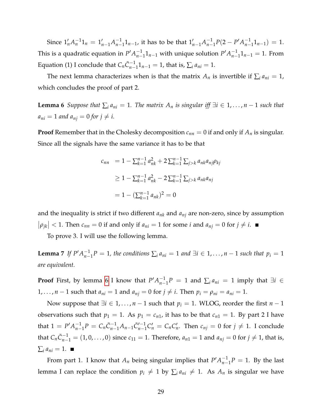Since  $1'_n A_n^{-1} 1_n = 1'_{n-1} A_{n-1}^{-1}$  $\frac{-1}{n-1}1_{n-1}$ , it has to be that  $1'_{n-1}A^{-1}_{n-1}$  $\frac{-1}{n-1}P(2-P'A_{n-}^{-1})$  $\frac{-1}{n-1}1_{n-1}$ ) = 1. This is a quadratic equation in  $P'A_{n-}^{-1}$  $n-1$ <sub>*n*−1</sub> with unique solution  $P'A$ <sup>-1</sup><sub>*n*−</sub>  $\frac{-1}{n-1}1_{n-1} = 1$ . From Equation (1) I conclude that  $C_n\bar{C}_{n-1}^{-1}1_{n-1} = 1$ , that is,  $\sum_i a_{ni} = 1$ .

The next lemma characterizes when is that the matrix  $A_n$  is invertible if  $\sum_i a_{ni} = 1$ , which concludes the proof of part 2.

<span id="page-31-0"></span>**Lemma 6** *Suppose that*  $\sum_{i} a_{ni} = 1$ . The matrix  $A_n$  is singular iff  $\exists i \in 1, ..., n-1$  such that  $a_{ni} = 1$  *and*  $a_{ni} = 0$  *for*  $j \neq i$ .

**Proof** Remember that in the Cholesky decomposition *cnn* = 0 if and only if *A<sup>n</sup>* is singular. Since all the signals have the same variance it has to be that

<span id="page-31-1"></span>
$$
c_{nn} = 1 - \sum_{k=1}^{n-1} a_{nk}^2 + 2 \sum_{k=1}^{n-1} \sum_{j>k} a_{nk} a_{nj} \rho_{kj}
$$
  
\n
$$
\geq 1 - \sum_{k=1}^{n-1} a_{nk}^2 - 2 \sum_{k=1}^{n-1} \sum_{j>k} a_{nk} a_{nj}
$$
  
\n
$$
= 1 - (\sum_{k=1}^{n-1} a_{nk})^2 = 0
$$

and the inequality is strict if two different  $a_{nk}$  and  $a_{ni}$  are non-zero, since by assumption  $|\rho_{jk}| < 1$ . Then  $c_{nn} = 0$  if and only if  $a_{ni} = 1$  for some *i* and  $a_{nj} = 0$  for  $j \neq i$ .

To prove 3. I will use the following lemma.

**Lemma** 7 *If*  $P'A_{n-}^{-1}$  $\sum_{n=1}^{n} P = 1$ , the conditions  $\sum_{i} a_{ni} = 1$  and  $\exists i \in 1, \ldots, n-1$  such that  $p_i = 1$ *are equivalent.*

**Proof** First, by lemma [6](#page-31-0) I know that  $P'A_{n-}^{-1}$  $\sum_{i=1}^{n-1} P = 1$  and  $\sum_{i} a_{ni} = 1$  imply that  $\exists i \in$ 1,..., *n* − 1 such that  $a_{ni} = 1$  and  $a_{nj} = 0$  for  $j \neq i$ . Then  $p_i = \rho_{ni} = a_{ni} = 1$ .

Now suppose that  $\exists i \in 1, ..., n-1$  such that  $p_i = 1$ . WLOG, reorder the first  $n-1$ observations such that  $p_1 = 1$ . As  $p_1 = c_{n1}$ , it has to be that  $c_{n1} = 1$ . By part 2 I have that  $1 = P'A_{n-}^{-1}$  $\overline{C}_{n-1}^{-1}P = C_n \overline{C}_{n-1}^{-1}A_{n-1}\overline{C}_{n-1}^{-1}$  $C_{n-1}^{(-1)}C_n' = C_nC_n'.$  Then  $c_{nj} = 0$  for  $j ≠ 1.$  I conclude that  $C_n\bar{C}_{n-1}^{-1} = (1,0,\ldots,0)$  since  $c_{11} = 1$ . Therefore,  $a_{n1} = 1$  and  $a_{nj} = 0$  for  $j \neq 1$ , that is,  $\sum_i a_{ni} = 1.$ 

From part 1. I know that  $A_n$  being singular implies that  $P'A_{n-}^{-1}$  $\frac{-1}{n-1}P = 1$ . By the last lemma I can replace the condition  $p_i \neq 1$  by  $\sum_i a_{ni} \neq 1$ . As  $A_n$  is singular we have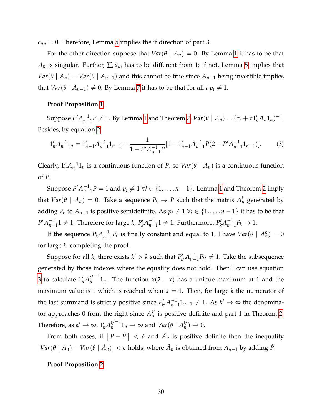$c_{nn} = 0$ . Therefore, Lemma [5](#page-29-0) implies the if direction of part 3.

For the other direction suppose that  $Var(\theta \mid A_n) = 0$ . By Lemma [1](#page-8-0) it has to be that  $A_n$  is singular. Further,  $\sum_i a_{ni}$  has to be different from 1; if not, Lemma [5](#page-29-0) implies that *Var*( $\theta$  |  $A_n$ ) = *Var*( $\theta$  |  $A_{n-1}$ ) and this cannot be true since  $A_{n-1}$  being invertible implies that *Var*( $\theta$  |  $A_{n-1}$ )  $\neq$  0. By Lemma [7](#page-31-1) it has to be that for all *i*  $p_i \neq 1$ .

## **Proof Proposition [1](#page-16-1)**

Suppose  $P'A_{n-}^{-1}$  $\int_{n-1}^{-1} P \neq 1$  $\int_{n-1}^{-1} P \neq 1$ . By Lemma 1 and Theorem [2,](#page-13-0)  $Var(\theta | A_n) = (\tau_{\theta} + \tau 1'_n A_n 1_n)^{-1}$ . Besides, by equation [2](#page-30-0)

<span id="page-32-0"></span>
$$
1'_{n}A_{n}^{-1}1_{n} = 1'_{n-1}A_{n-1}^{-1}1_{n-1} + \frac{1}{1 - P'A_{n-1}^{-1}P}[1 - 1'_{n-1}A_{n-1}^{-1}P(2 - P'A_{n-1}^{-1}1_{n-1})].
$$
 (3)

Clearly,  $1'_n A_n^{-1} 1_n$  is a continuous function of *P*, so  $Var(\theta \mid A_n)$  is a continuous function of *P*.

Suppose  $P'A_{n-}^{-1}$  $\binom{n}{n-1}$  *P* = [1](#page-8-0) and  $p_i \neq 1 \ \forall i \in \{1, \ldots, n-1\}$ . Lemma 1 and Theorem [2](#page-13-0) imply that  $Var(\theta \mid A_n) = 0$ . Take a sequence  $P_k \to P$  such that the matrix  $A_n^k$  generated by adding  $P_k$  to  $A_{n-1}$  is positive semidefinite. As  $p_i \neq 1 \ \forall i \in \{1, \ldots, n-1\}$  it has to be that  $P'A_{n-}^{-1}$  $\frac{n-1}{n-1}$ 1 ≠ 1. Therefore for large *k*,  $P'_k A^{-1}_{n-1}$  $\frac{n-1}{n-1}$ 1 ≠ 1. Furthermore,  $P'_k A_{n-1}^{-1}$  $\frac{-1}{n-1}P_k$  → 1.

If the sequence  $P'_k A^{-1}_{n-1}$  $n-1$ ,  $P_k$  is finally constant and equal to 1, I have  $Var(\theta | A_n^k) = 0$ for large *k*, completing the proof.

Suppose for all *k*, there exists  $k' > k$  such that  $P'_k$  $a_{n-k}^{\prime}A_{n-k}^{-1}$  $\frac{-1}{n-1}P_{k'} \neq 1$ . Take the subsequence generated by those indexes where the equality does not hold. Then I can use equation [3](#page-32-0) to calculate  $1'_n A_n^{k'}$ *n*  $^{-1}$ 1<sub>n</sub>. The function *x*(2 – *x*) has a unique maximum at 1 and the maximum value is 1 which is reached when  $x = 1$ . Then, for large k the numerator of the last summand is strictly positive since  $P'_k$  $a_{n-k}^{\prime}A_{n-k}^{-1}$  $\frac{-1}{n-1}$ 1<sub>*n*−1</sub> ≠ 1. As *k*<sup> $\prime$ </sup> → ∞ the denominator approaches 0 from the right since  $A_n^{k'}$  $\frac{k}{n}$  is positive definite and part 1 in Theorem [2.](#page-13-0) Therefore, as  $k' \to \infty$ ,  $1'_n A_n^{k'}$ *n*  $\overline{\mathcal{C}}^{-1}1_n \to \infty$  and  $Var(\theta \mid A_n^{k'})$  $_{n}^{k^{\prime}}\rightarrow0.$ 

From both cases, if  $||P - \hat{P}|| < \delta$  and  $\hat{A}_n$  is positive definite then the inequality  $|Var(\theta | A_n) - Var(\theta | \hat{A}_n)| < \epsilon$  holds, where  $\hat{A}_n$  is obtained from  $A_{n-1}$  by adding  $\hat{P}$ .

#### **Proof Proposition [2](#page-17-1)**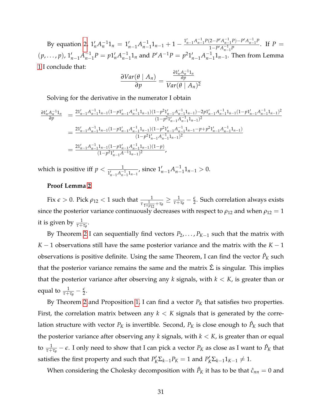By equation [2,](#page-30-0)  $1'_n A_n^{-1} 1_n = 1'_{n-1} A_{n-1}^{-1}$  $\frac{1}{n-1}$ **1**<sub>*n*−1</sub> + 1 −  $\frac{1'_{n-1}A_{n-1}^{-1}P(2-P'A_{n-1}^{-1}P)-P'A_{n-1}^{-1}P}{1-P'A_{n-1}^{-1}P}$  $\frac{1-P(A_{n-1}^{-1})-1-A_{n-1}^{-1}}{1-P'(A_{n-1}^{-1}P)}$ . If  $P=$  $(p, \ldots, p), 1'_{n-1}A^{-1}_{n-1}$  $n-1$ <sup>*P*</sup> = *p*1<sup>*t*</sup><sub>*n*</sub>*A*<sub>*n*<sup>1</sup></sup></sub>  $n^{-1}$ , and  $P'A^{-1}P = p^2 1'_{n-1}A_{n-1}^{-1}$ *n*−1 1*n*−1. Then from Lemma [1](#page-8-0) I conclude that:

$$
\frac{\partial Var(\theta \mid A_n)}{\partial p} = \frac{\frac{\partial 1'_n A_n^{-1} 1_n}{\partial p}}{Var(\theta \mid A_n)^2}
$$

Solving for the derivative in the numerator I obtain

$$
\begin{array}{rcl} \frac{\partial 1'_nA_n^{-1}1_n}{\partial p} & = & \frac{21'_{n-1}A_{n-1}^{-1}1_{n-1}(1-p1'_{n-1}A_{n-1}^{-1}1_{n-1})(1-p^21'_{n-1}A_{n-1}^{-1}1_{n-1})-2p1'_{n-1}A_{n-1}^{-1}1_{n-1}(1-p1'_{n-1}A_{n-1}^{-1}1_{n-1})^2}{(1-p^21'_{n-1}A_{n-1}^{-1}1_{n-1})^2} \\ & & = & \frac{21'_{n-1}A_{n-1}^{-1}1_{n-1}(1-p1'_{n-1}A_{n-1}^{-1}1_{n-1})(1-p^21'_{n-1}A_{n-1}^{-1}1_{n-1}-p+p^21'_{n-1}A_{n-1}^{-1}1_{n-1})}{(1-p^21'_{n-1}A_{n-1}^{-1}1_{n-1})^2} \\ & & = & \frac{21'_{n-1}A_{n-1}^{-1}1_{n-1}(1-p1'_{n-1}A_{n-1}^{-1}1_{n-1})(1-p)}{(1-p^21'_{n-1}A_{n-1}^{-1}1_{n-1})^2}, \end{array}
$$

which is positive iff  $p < \frac{1}{1_{n-1}'A_{n-1}^{-1}1_{n-1}'},$  since  $1_{n-1}'A_{n-1}^{-1}$  $\frac{-1}{n-1}$ 1<sub>*n*−1</sub> > 0.

## **Proof Lemma [2](#page-19-1)**

Fix  $\epsilon > 0$ . Pick  $\rho_{12} < 1$  such that  $\frac{1}{\tau \frac{1}{1+\rho_{12}}+\tau_{\theta}} \geq \frac{1}{\tau+\tau_{\theta}}-\frac{\epsilon}{2}$ . Such correlation always exists since the posterior variance continuously decreases with respect to  $\rho_{12}$  and when  $\rho_{12} = 1$ it is given by  $\frac{1}{\tau+\tau_\theta}$ .

By Theorem [2](#page-13-0) I can sequentially find vectors *P*2, . . . , *PK*−<sup>1</sup> such that the matrix with *K* − 1 observations still have the same posterior variance and the matrix with the *K* − 1 observations is positive definite. Using the same Theorem, I can find the vector  $\hat{P}_K$  such that the posterior variance remains the same and the matrix  $\hat{\Sigma}$  is singular. This implies that the posterior variance after observing any *k* signals, with *k* < *K*, is greater than or equal to  $\frac{1}{\tau+\tau_{\theta}}-\frac{\epsilon}{2}$ .

By Theorem [2](#page-13-0) and Proposition [1,](#page-16-1) I can find a vector  $P_K$  that satisfies two properties. First, the correlation matrix between any  $k < K$  signals that is generated by the correlation structure with vector  $P_K$  is invertible. Second,  $P_K$  is close enough to  $\hat{P}_K$  such that the posterior variance after observing any  $k$  signals, with  $k < K$ , is greater than or equal to  $\frac{1}{\tau+\tau_\theta}-\epsilon$ . I only need to show that I can pick a vector  $P_K$  as close as I want to  $\hat{P}_K$  that satisfies the first property and such that  $P'_K \Sigma_{k-1} P_K = 1$  and  $P'_K \Sigma_{k-1} 1_{K-1} \neq 1$ .

When considering the Cholesky decomposition with  $\hat{P}_K$  it has to be that  $\hat{c}_{nn}=0$  and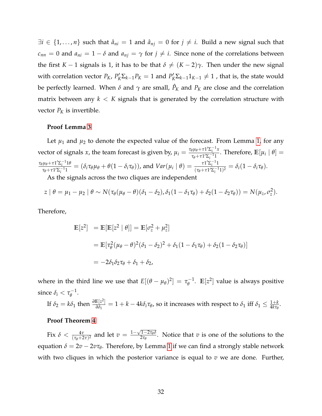$\exists i \in \{1, \ldots, n\}$  such that  $\hat{a}_{ni} = 1$  and  $\hat{a}_{ni} = 0$  for  $j \neq i$ . Build a new signal such that *c*<sub>nn</sub> = 0 and  $a_{ni} = 1 - \delta$  and  $a_{nj} = \gamma$  for  $j \neq i$ . Since none of the correlations between the first *K* − 1 signals is 1, it has to be that  $\delta \neq (K - 2)\gamma$ . Then under the new signal with correlation vector  $P_K$ ,  $P'_K \Sigma_{k-1} P_K = 1$  and  $P'_K \Sigma_{k-1} 1_{K-1} \neq 1$  , that is, the state would be perfectly learned. When  $\delta$  and  $\gamma$  are small,  $\hat{P}_K$  and  $P_K$  are close and the correlation matrix between any  $k < K$  signals that is generated by the correlation structure with vector  $P_K$  is invertible.

#### **Proof Lemma [3](#page-21-1)**

Let  $\mu_1$  and  $\mu_2$  to denote the expected value of the forecast. From Lemma [1,](#page-8-0) for any vector of signals *x*, the team forecast is given by,  $\mu_i = \frac{\tau_{\theta} \mu_{\theta} + \tau \frac{1}{\sum_{i=1}^{i} x_i}{\tau_{\theta} + \tau \frac{1}{\sum_{i=1}^{i} x_i}}$  $\frac{\partial \mu \theta + \tau \, \mathrm{d} \, \Sigma_i^{-1} \mathcal{I}}{\tau_{\theta} + \tau \, \mathrm{d}' \Sigma_i^{-1} \mathcal{I}}$ . Therefore,  $\mathbb{E}[\mu_i | \theta] =$  $\frac{\tau_{\theta}\mu_{\theta}+\tau\mathbb{1}'\Sigma_{i}^{-1}\mathbb{1}\theta}{\tau}$  $\frac{\mu_{\theta} + \tau \mathbf{1}' \Sigma_i^{-1} \mathbf{1} \theta}{\tau_{\theta} + \tau \mathbf{1}' \Sigma_i^{-1} \mathbf{1}} = (\delta_i \tau_{\theta} \mu_{\theta} + \theta (1 - \delta_i \tau_{\theta}))$ , and  $Var(\mu_i | \theta) = \frac{\tau \mathbf{1}' \Sigma_i^{-1} \mathbf{1}}{(\tau_{\theta} + \tau \mathbf{1}' \Sigma_i^{-1} \mathbf{1})}$  $\frac{i \Gamma Z_i}{(\tau_{\theta} + \tau \Gamma' \Sigma_i^{-1} \Gamma)^2} = \delta_i (1 - \delta_i \tau_{\theta}).$ 

As the signals across the two cliques are independent

$$
z | \theta = \mu_1 - \mu_2 | \theta \sim N(\tau_\theta(\mu_\theta - \theta)(\delta_1 - \delta_2), \delta_1(1 - \delta_1 \tau_\theta) + \delta_2(1 - \delta_2 \tau_\theta)) = N(\mu_z, \sigma_z^2).
$$

Therefore,

$$
\mathbb{E}[z^2] = \mathbb{E}[\mathbb{E}[z^2 | \theta]] = \mathbb{E}[\sigma_z^2 + \mu_z^2]
$$
  
=  $\mathbb{E}[\tau_\theta^2 (\mu_\theta - \theta)^2 (\delta_1 - \delta_2)^2 + \delta_1 (1 - \delta_1 \tau_\theta) + \delta_2 (1 - \delta_2 \tau_\theta)]$   
=  $-2\delta_1 \delta_2 \tau_\theta + \delta_1 + \delta_2$ ,

where in the third line we use that  $E[(\theta - \mu_{\theta})^2] = \tau_{\theta}^{-1}$  $e^{-1}$ .  $\mathbb{E}[z^2]$  value is always positive since  $\delta_i < \tau_{\theta}^{-1}$ *θ* .

If  $\delta_2 = k\delta_1$  then  $\frac{\partial E[z^2]}{\partial \delta_1}$  $\frac{E[z^2]}{\partial \delta_1} = 1 + k - 4k\delta_i\tau_\theta$ , so it increases with respect to  $\delta_1$  iff  $\delta_1 \leq \frac{1+k}{4k\tau_\theta}.$ 

## **Proof Theorem [4](#page-23-0)**

Fix  $\delta < \frac{4\tau}{(\tau_{\theta}+2\tau)^2}$  and let  $v = \frac{1-\sqrt{1-2\tau_{\theta}\delta}}{2\tau_{\theta}}$  $\frac{1-2\mu_{\theta} \nu}{2\tau_{\theta}}$ . Notice that *v* is one of the solutions to the equation  $\delta = 2v - 2v\tau_{\theta}$ . Therefore, by Lemma [1](#page-24-1) if we can find a strongly stable network with two cliques in which the posterior variance is equal to *v* we are done. Further,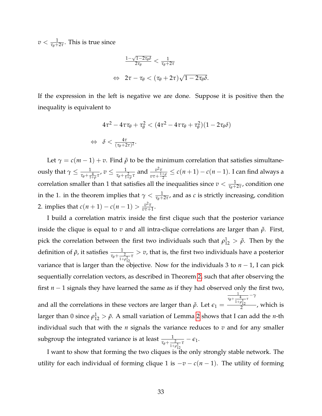$v < \frac{1}{\tau_{\theta}+2\tau}$ . This is true since

$$
\frac{1-\sqrt{1-2\tau_{\theta}\delta}}{2\tau_{\theta}} < \frac{1}{\tau_{\theta}+2\tau}
$$
  

$$
\Leftrightarrow 2\tau - \tau_{\theta} < (\tau_{\theta} + 2\tau)\sqrt{1-2\tau_{\theta}\delta}.
$$

If the expression in the left is negative we are done. Suppose it is positive then the inequality is equivalent to

$$
4\tau^2 - 4\tau\tau_{\theta} + \tau_{\theta}^2 < (4\tau^2 - 4\tau\tau_{\theta} + \tau_{\theta}^2)(1 - 2\tau_{\theta}\delta)
$$
  
\$\Leftrightarrow \delta < \frac{4\tau}{(\tau\_{\theta} + 2\tau)^2}\$.

Let  $\gamma = c(m-1) + v$ . Find  $\tilde{\rho}$  to be the minimum correlation that satisfies simultane- $\text{ously that } \gamma \leq \frac{1}{\tau_\theta + \frac{4}{1+\rho} \tau}, v \leq \frac{1}{\tau_\theta + \frac{2}{1+\rho} \tau} \text{ and } \frac{v^2 \tau}{v \tau + \frac{1}{1+\rho} \tau}$  $\overline{v\tau+\frac{1+\rho}{2}}$  $\leq c(n+1) - c(n-1)$ . I can find always a correlation smaller than 1 that satisfies all the inequalities since  $v < \frac{1}{\tau_{\theta}+2\tau}$ , condition one in the 1. in the theorem implies that  $\gamma < \frac{1}{\tau_{\theta}+2\tau}$ , and as *c* is strictly increasing, condition 2. implies that  $c(n+1) - c(n-1) > \frac{v^2 \tau}{n \tau + 1}$  $\frac{v^2\tau}{v\tau+1}$ .

I build a correlation matrix inside the first clique such that the posterior variance inside the clique is equal to *v* and all intra-clique correlations are larger than  $\tilde{\rho}$ . First, pick the correlation between the first two individuals such that  $\rho_{12}^1 > \tilde{\rho}$ . Then by the definition of  $\tilde{\rho}$ , it satisfies  $\frac{1}{\tau_{\theta}+\frac{2}{1+\rho_{12}^1}\tau} > v$ , that is, the first two individuals have a posterior variance that is larger than the objective. Now for the individuals 3 to  $n-1$ , I can pick sequentially correlation vectors, as described in Theorem [2,](#page-13-0) such that after observing the first *n* − 1 signals they have learned the same as if they had observed only the first two, and all the correlations in these vectors are larger than  $\tilde{\rho}$ . Let  $\epsilon_1 =$  $\frac{1}{\tau_{\theta} + \frac{4}{1+\rho_{12}^1}}$ *τ* −*γ*  $\frac{p_{12}}{2}$ , which is larger than 0 since  $\rho_{12}^1 > \tilde{\rho}$ . A small variation of Lemma [2](#page-19-1) shows that I can add the *n*-th individual such that with the *n* signals the variance reduces to *v* and for any smaller subgroup the integrated variance is at least  $\frac{1}{\tau_{\theta} + \frac{2}{1+\rho_{12}^1}\tau} - \epsilon_1$ .

I want to show that forming the two cliques is the only strongly stable network. The utility for each individual of forming clique 1 is  $-v - c(n - 1)$ . The utility of forming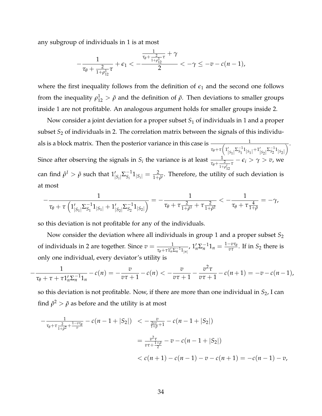any subgroup of individuals in 1 is at most

$$
-\frac{1}{\tau_{\theta}+\frac{2}{1+\rho_{12}^1}\tau}+\epsilon_1<-\frac{\frac{1}{\tau_{\theta}+\frac{2}{1+\rho_{12}^1}\tau}+\gamma}{2}<-\gamma\leq-v-c(n-1),
$$

where the first inequality follows from the definition of  $\epsilon_1$  and the second one follows from the inequality  $\rho_{12}^1 > \tilde{\rho}$  and the definition of  $\tilde{\rho}$ . Then deviations to smaller groups inside 1 are not profitable. An analogous argument holds for smaller groups inside 2.

Now consider a joint deviation for a proper subset *S*<sup>1</sup> of individuals in 1 and a proper subset *S*<sup>2</sup> of individuals in 2. The correlation matrix between the signals of this individuals is a block matrix. Then the posterior variance in this case is  $\frac{1}{\sqrt{1-\frac{1}{n}}}$  $\tau_{\theta} + \tau \left( \mathbf{1}_{|S_1|}' \Sigma_{S_1}^{-1} \mathbf{1}_{|S_1|} + \mathbf{1}_{|S_2|}' \Sigma_{S_2}^{-1} \mathbf{1}_{|S_2|} \right)$  $\overline{\ }$ . Since after observing the signals in  $S_i$  the variance is at least  $\frac{1}{\tau_{\theta} + \frac{2}{1+\rho_{12}^i}-\tau} - \epsilon_i > \gamma > v$ , we 12 can find  $\hat{\rho}^I > \tilde{\rho}$  such that  $1'_{|S_i|} \Sigma_{S_i}^{-1}$  $S_i^{-1}1_{|S_i|} = \frac{2}{1+\hat{\rho}^i}$ . Therefore, the utility of such deviation is at most

$$
-\frac{1}{\tau_\theta+\tau\left(1_{|S_1|}'\Sigma_{S_1}^{-1}1_{|S_1|}+1_{|S_2|}'\Sigma_{S_2}^{-1}1_{|S_2|}\right)}=-\frac{1}{\tau_\theta+\tau\frac{2}{1+\hat{\rho}^1}+\tau\frac{2}{1+\hat{\rho}^2}}<-\frac{1}{\tau_\theta+\tau\frac{4}{1+\tilde{\rho}}}=-\gamma,
$$

so this deviation is not profitable for any of the individuals.

Now consider the deviation where all individuals in group 1 and a proper subset  $S_2$ of individuals in 2 are together. Since  $v = \frac{1}{\tau_{\theta} + \tau \mathbb{1}'_n \Sigma_n^{-1} \mathbb{1}_{|n|}}$ ,  $\mathbb{1}'_n \Sigma_n^{-1} \mathbb{1}_n = \frac{1 - v \tau_{\theta}}{v \tau}$  $\frac{-\nu\iota_{\theta}}{\nu\tau}$ . If in *S*<sub>2</sub> there is only one individual, every deviator's utility is

$$
-\frac{1}{\tau_{\theta}+\tau+\tau_{n}^{2}\Sigma_{n}^{-1}1_{n}}-c(n)=-\frac{v}{v\tau+1}-c(n)<-\frac{v}{v\tau+1}-\frac{v^{2}\tau}{v\tau+1}-c(n+1)=-v-c(n-1),
$$

so this deviation is not profitable. Now, if there are more than one individual in *S*2, I can find  $\hat{\rho}^2 > \tilde{\rho}$  as before and the utility is at most

$$
-\frac{1}{\tau_{\theta} + \tau \frac{2}{1+\hat{\rho}^2} + \frac{1-\tilde{\sigma}\tau_{\theta}}{\tilde{\sigma}}} - c(n-1+|S_2|) < -\frac{\tilde{\sigma}}{\frac{2\tilde{\sigma}\tau}{1+\tilde{\rho}} + 1} - c(n-1+|S_2|)
$$
  

$$
= \frac{\tilde{\sigma}^2 \tau}{\tilde{\sigma}\tau + \frac{1+\tilde{\rho}}{2}} - \tilde{\sigma} - c(n-1+|S_2|)
$$
  

$$
< c(n+1) - c(n-1) - \tilde{\sigma} - c(n+1) = -c(n-1) - \tilde{\sigma},
$$